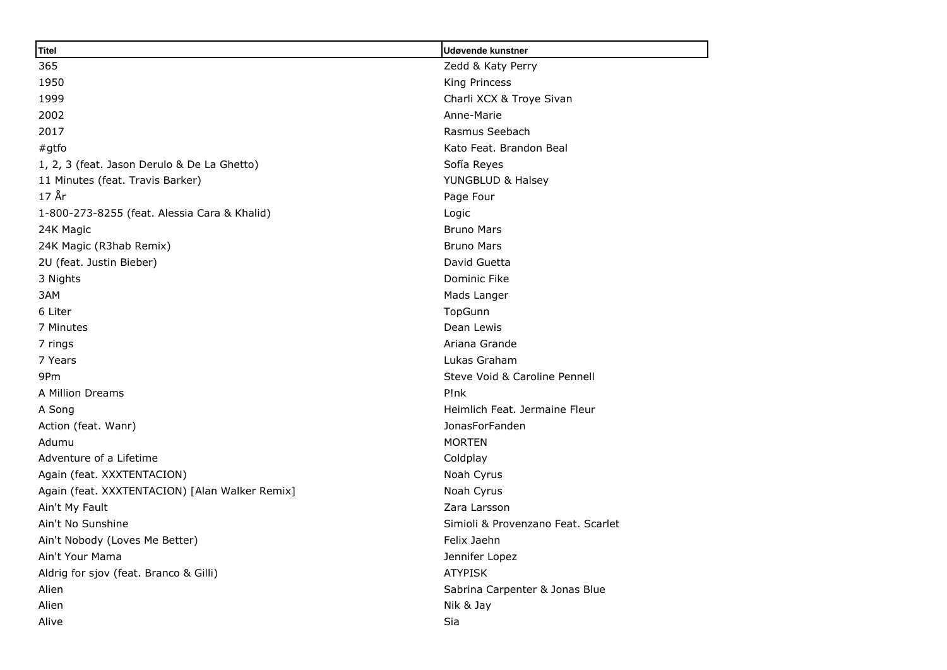| <b>Titel</b>                                   | Udøvende kunstner                  |  |
|------------------------------------------------|------------------------------------|--|
| 365                                            | Zedd & Katy Perry                  |  |
| 1950                                           | King Princess                      |  |
| 1999                                           | Charli XCX & Troye Sivan           |  |
| 2002                                           | Anne-Marie                         |  |
| 2017                                           | Rasmus Seebach                     |  |
| $#$ gtfo                                       | Kato Feat, Brandon Beal            |  |
| 1, 2, 3 (feat. Jason Derulo & De La Ghetto)    | Sofía Reyes                        |  |
| 11 Minutes (feat. Travis Barker)               | YUNGBLUD & Halsey                  |  |
| $178$ r                                        | Page Four                          |  |
| 1-800-273-8255 (feat. Alessia Cara & Khalid)   | Logic                              |  |
| 24K Magic                                      | <b>Bruno Mars</b>                  |  |
| 24K Magic (R3hab Remix)                        | <b>Bruno Mars</b>                  |  |
| 2U (feat. Justin Bieber)                       | David Guetta                       |  |
| 3 Nights                                       | Dominic Fike                       |  |
| 3AM                                            | Mads Langer                        |  |
| 6 Liter                                        | TopGunn                            |  |
| 7 Minutes                                      | Dean Lewis                         |  |
| 7 rings                                        | Ariana Grande                      |  |
| 7 Years                                        | Lukas Graham                       |  |
| 9Pm                                            | Steve Void & Caroline Pennell      |  |
| A Million Dreams                               | P!nk                               |  |
| A Song                                         | Heimlich Feat, Jermaine Fleur      |  |
| Action (feat. Wanr)                            | JonasForFanden                     |  |
| Adumu                                          | <b>MORTEN</b>                      |  |
| Adventure of a Lifetime                        | Coldplay                           |  |
| Again (feat. XXXTENTACION)                     | Noah Cyrus                         |  |
| Again (feat. XXXTENTACION) [Alan Walker Remix] | Noah Cyrus                         |  |
| Ain't My Fault                                 | Zara Larsson                       |  |
| Ain't No Sunshine                              | Simioli & Provenzano Feat. Scarlet |  |
| Ain't Nobody (Loves Me Better)                 | Felix Jaehn                        |  |
| Ain't Your Mama                                | Jennifer Lopez                     |  |
| Aldrig for sjov (feat. Branco & Gilli)         | <b>ATYPISK</b>                     |  |
| Alien                                          | Sabrina Carpenter & Jonas Blue     |  |
| Alien                                          | Nik & Jay                          |  |
| Alive                                          | Sia                                |  |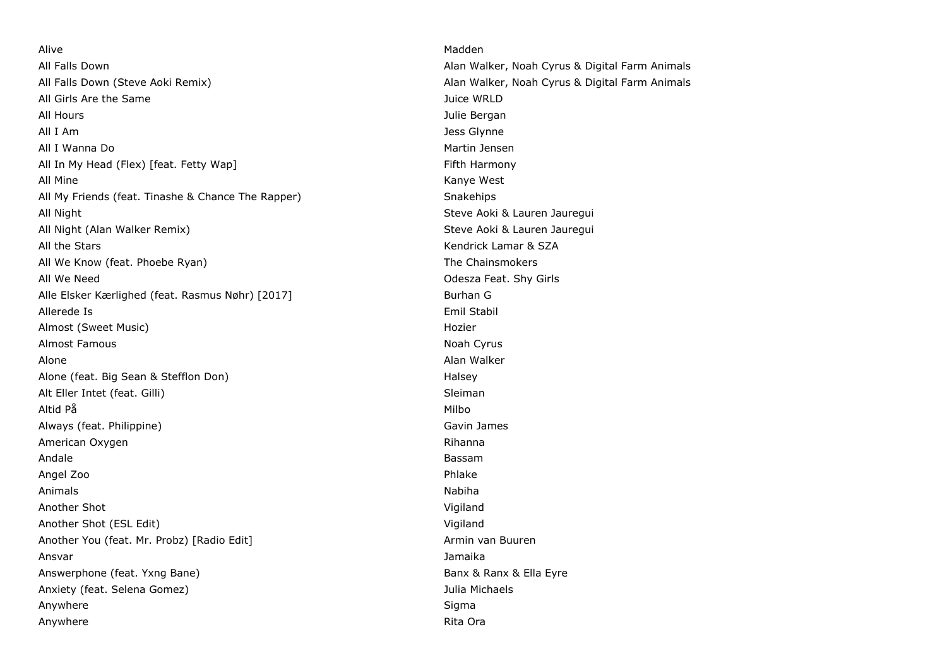Alive Madden All Falls Down Alan Walker, Noah Cyrus & Digital Farm Animals All Falls Down (Steve Aoki Remix) Alan Walker, Noah Cyrus & Digital Farm Animals All Girls Are the Same Juice WRLD All Hours **All Hours All Hours All Hours** *Contract All Hours Contract All Hours**All Hours**All Hours**All Hours**All Hours**All Hours**All Hours**All Hours**All Hours**All Hours**All Hours**All Hours* All I Am Jess Glynne All I Wanna Do **Martin Jensen** Martin Jensen All In My Head (Flex) [feat. Fetty Wap] Fifth Harmony All Mine Kanye West All My Friends (feat. Tinashe & Chance The Rapper) Snakehips All Night Steve Aoki & Lauren Jauregui All Night (Alan Walker Remix) Steve Aoki & Lauren Jauregui All the Stars Kendrick Lamar & SZA All We Know (feat. Phoebe Ryan) The Chainsmokers and the Chainsmokers and the Chainsmokers All We Need Odesza Feat. Shy Girls Alle Elsker Kærlighed (feat. Rasmus Nøhr) [2017] Burhan G Allerede Is Emil Stabil Almost (Sweet Music) and the control of the control of the control of the control of the control of the control of the control of the control of the control of the control of the control of the control of the control of th Almost Famous **Noah Cyrus Noah Cyrus Noah Cyrus Noah Cyrus** Noah Cyrus Noah Cyrus Noah Cyrus Noah Cyrus Noah Cyrus Alone Alone Alone Alone Alone Alone Alone Alone Alone Alone Alone Alone Alone Alone Alone Alone Alone Alone Alo Alone (feat. Big Sean & Stefflon Don) Alone (feat. Big Sean & Stefflon Don) Alt Eller Intet (feat. Gilli) Sleiman Sleiman Sleiman Sleiman Sleiman Sleiman Sleiman Altid På Milbo (1999) og stofnade af den stofnade af den stofnade af den stofnade af den stofnade af den stofna Always (feat. Philippine) and Cavin James Cavin James Cavin James Cavin James Cavin James Cavin James Cavin James Cavin James Cavin James Cavin James Cavin James Cavin James Cavin James Cavin James Cavin James Cavin James American Oxygen **American Oxygen Rihanna** Rihanna Andale Bassam Angel Zoo Phlake Animals **Nabiha** Another Shot Vigiland Another Shot (ESL Edit) Vigiland Another You (feat. Mr. Probz) [Radio Edit] Armin van Buuren Armin van Buuren Ansvar Jamaika Answerphone (feat. Yxng Bane) Banx & Ranx & Ella Eyre Anxiety (feat. Selena Gomez) Julia Michaels Anywhere Sigma and the Sigma and the Sigma and the Sigma and the Sigma and the Sigma and Sigma and Sigma and Sigma and Sigma and Sigma and Sigma and Sigma and Sigma and Sigma and Sigma and Sigma and Sigma and Sigma and Sig Anywhere **Rita Ora Anywhere Rita Ora** *Rita Ora**Rita Ora**Rita Ora**Rita Ora*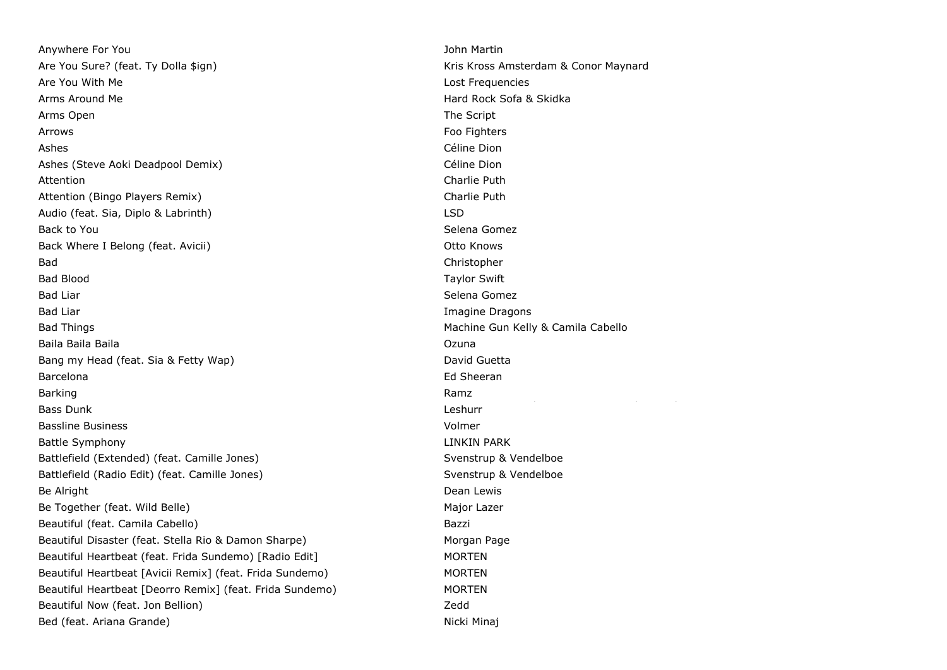Anywhere For You John Martin Are You Sure? (feat. Ty Dolla \$ign) May the Matter of the Maynard Kris Kross Amsterdam & Conor Maynard Are You With Me Lost Frequencies Arms Around Me **Hard Rock Sofa & Skidka** Arms Open The Script Contract of the Script Contract of the Script Contract of the Script Contract of the Script Arrows Foo Fighters Ashes Céline Dion and the Celine Dion and the Celine Dion and the Celine Dion and the Celine Dion Ashes (Steve Aoki Deadpool Demix) and the control of the Céline Dion Attention **Charlie Puth** Attention (Bingo Players Remix) Charlie Puth Audio (feat. Sia, Diplo & Labrinth) LSD Back to You **Selena Gomez** and the Selena Gomez and the Selena Gomez and the Selena Gomez and the Selena Gomez and the Selena Gomez and the Selena Gomez and the Selena Gomez and the Selena Gomez and the Selena Gomez and th Back Where I Belong (feat. Avicii) Otto Knows Bad Christopher Bad Blood Taylor Swift Bad Liar Selena Gomez (Selena Gomez (Selena Gomez (Selena Gomez (Selena Gomez (Selena Gomez (Selena Gomez (Selena Gomez (Selena Gomez (Selena Gomez (Selena Gomez (Selena Gomez (Selena Gomez (Selena Gomez (Selena Gomez (Sel Bad Liar **Imagine Dragons Bad Liar** Imagine Dragons **Imagine Dragons** Bad Things Machine Gun Kelly & Camila Cabello Baila Baila Baila Ozuna Bang my Head (feat. Sia & Fetty Wap) discussed the control of David Guetta Barcelona **Ed Sheeran** Ed Sheeran Ed Sheeran Ed Sheeran Ed Sheeran Ed Sheeran Ed Sheeran Ed Sheeran Ed Sheeran Ed Sheeran Ed Sheeran Ed Sheeran Ed Sheeran Ed Sheeran Ed Sheeran Ed Sheeran Ed Sheeran Ed Sheeran Ed Sheeran E Barking Ramz Bass Dunk Bassline Business Volmer Battle Symphony **LINKIN PARK** Battlefield (Extended) (feat. Camille Jones) Svenstrup & Vendelboe Battlefield (Radio Edit) (feat. Camille Jones) Svenstrup & Vendelboe Be Alright **Dean Lewis Be Alright Dean Lewis** Be Together (feat. Wild Belle) Major Lazer Beautiful (feat. Camila Cabello) Bazzi Beautiful Disaster (feat. Stella Rio & Damon Sharpe) Morgan Page Beautiful Heartbeat (feat. Frida Sundemo) [Radio Edit] MORTEN Beautiful Heartbeat [Avicii Remix] (feat. Frida Sundemo) MORTEN Beautiful Heartbeat [Deorro Remix] (feat. Frida Sundemo) MORTEN Beautiful Now (feat. Jon Bellion) Contract Controller and the Manuscriptum of the Zedd Bed (feat. Ariana Grande) Nicki Minaj

Charlotte Devaney feat. Fatman Scoop & Lady Leshurr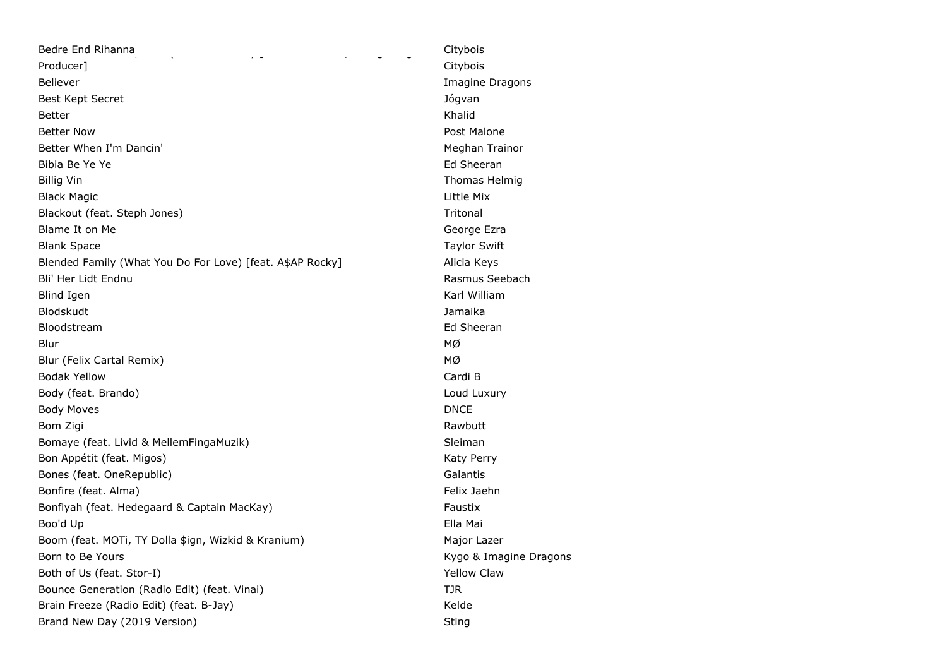| Bedre End Rihanna<br>$\sim$ $\sim$                        | Citybois         |
|-----------------------------------------------------------|------------------|
| Producer]                                                 | Citybois         |
| <b>Believer</b>                                           | Imagine          |
| Best Kept Secret                                          | Jógvan           |
| <b>Better</b>                                             | Khalid           |
| <b>Better Now</b>                                         | Post Mald        |
| Better When I'm Dancin'                                   | Meghan 7         |
| Bibia Be Ye Ye                                            | Ed Sheer         |
| <b>Billig Vin</b>                                         | Thomas I         |
| <b>Black Magic</b>                                        | Little Mix       |
| Blackout (feat. Steph Jones)                              | Tritonal         |
| Blame It on Me                                            | George E         |
| <b>Blank Space</b>                                        | Taylor Sv        |
| Blended Family (What You Do For Love) [feat. A\$AP Rocky] | Alicia Key       |
| Bli' Her Lidt Endnu                                       | Rasmus 9         |
| <b>Blind Igen</b>                                         | Karl Willi       |
| Blodskudt                                                 | Jamaika          |
| Bloodstream                                               | Ed Sheer         |
| Blur                                                      | МØ               |
| Blur (Felix Cartal Remix)                                 | МØ               |
| <b>Bodak Yellow</b>                                       | Cardi B          |
| Body (feat. Brando)                                       | Loud Lux         |
| <b>Body Moves</b>                                         | <b>DNCE</b>      |
| Bom Zigi                                                  | Rawbutt          |
| Bomaye (feat. Livid & MellemFingaMuzik)                   | <b>Sleiman</b>   |
| Bon Appétit (feat. Migos)                                 | <b>Katy Perr</b> |
| Bones (feat. OneRepublic)                                 | Galantis         |
| Bonfire (feat. Alma)                                      | Felix Jael       |
| Bonfiyah (feat. Hedegaard & Captain MacKay)               | Faustix          |
| Boo'd Up                                                  | Ella Mai         |
| Boom (feat. MOTi, TY Dolla \$ign, Wizkid & Kranium)       | Major Laz        |
| Born to Be Yours                                          | Kygo & Iı        |
| Both of Us (feat. Stor-I)                                 | Yellow Cl        |
| Bounce Generation (Radio Edit) (feat. Vinai)              | TJR              |
| Brain Freeze (Radio Edit) (feat. B-Jay)                   | Kelde            |
| Brand New Day (2019 Version)                              | Sting            |

Imagine Dragons Post Malone Meghan Trainor Ed Sheeran Thomas Helmig George Ezra Taylor Swift Alicia Keys Rasmus Seebach Karl William Ed Sheeran Loud Luxury Katy Perry Felix Jaehn Major Lazer Kygo & Imagine Dragons Yellow Claw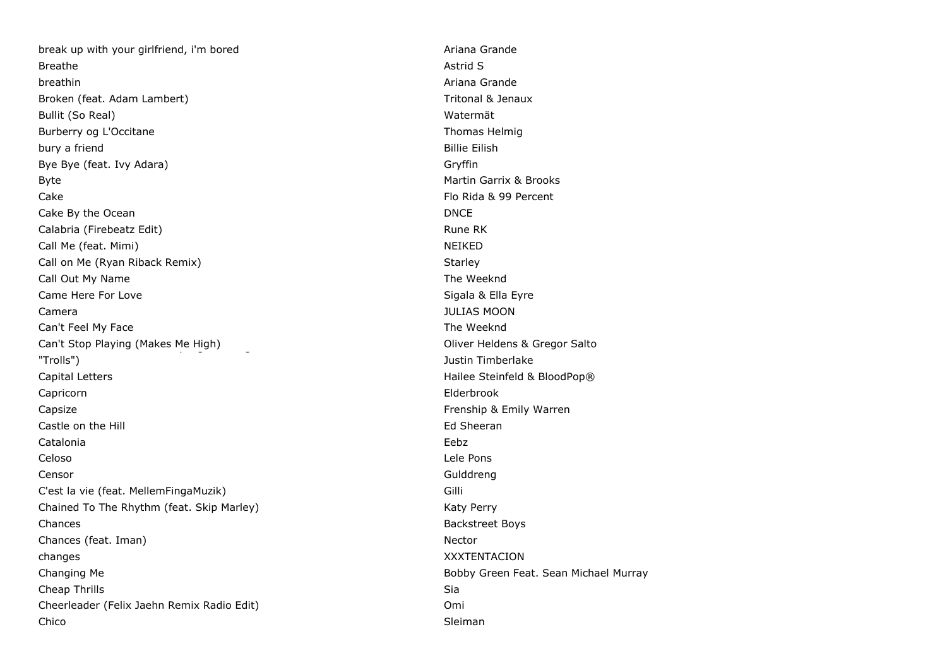break up with your girlfriend, i'm bored Ariana Grande Ariana Grande Breathe Astrid Street, and the Street Astrid Street, and the Street Astrid Street Astrid Street Astrid Street breathin **Ariana Grande** Broken (feat. Adam Lambert) Tritonal & Jenaux Bullit (So Real) Watermät Burberry og L'Occitane Thomas Helmig bury a friend **Billie Eilish** Bye Bye (feat. Ivy Adara) Gryffin Byte **Martin Garrix & Brooks Martin Garrix & Brooks Martin Garrix & Brooks** Cake Flo Rida & 99 Percent Cake By the Ocean DNCE Calabria (Firebeatz Edit) **Rune RK** Rune RK Call Me (feat. Mimi) NEIKED Call on Me (Ryan Riback Remix) Starley Starley Starley Starley Call Out My Name The Weeknd Came Here For Love **Sigala & Ella Eyre** Sigala & Ella Eyre Camera JULIAS MOON Can't Feel My Face **The Weeknd** Can't Feel My Face Can't Stop Playing (Makes Me High) Can't Stop Playing (Makes Me High) Can't Stop From DreamWorks Animation of C "Trolls") Justin Timberlake Capital Letters **Capital Letters Hailee Steinfeld & BloodPop®** Capricorn Elderbrook Capsize Frenship & Emily Warren Castle on the Hill **Ed Sheeran** Catalonia Eebz Celoso Lele Pons Censor Gulddreng C'est la vie (feat. MellemFingaMuzik) Gilli Chained To The Rhythm (feat. Skip Marley) Market Market Market Market Market Market Market Market Market Market Chances **Backstreet Boys Backstreet Boys** Chances (feat. Iman) Nector changes XXXTENTACION Changing Me **Bobby Green Feat. Sean Michael Murray** Bobby Green Feat. Sean Michael Murray **Cheap Thrills** Sia Cheerleader (Felix Jaehn Remix Radio Edit) Omi Chico Sleiman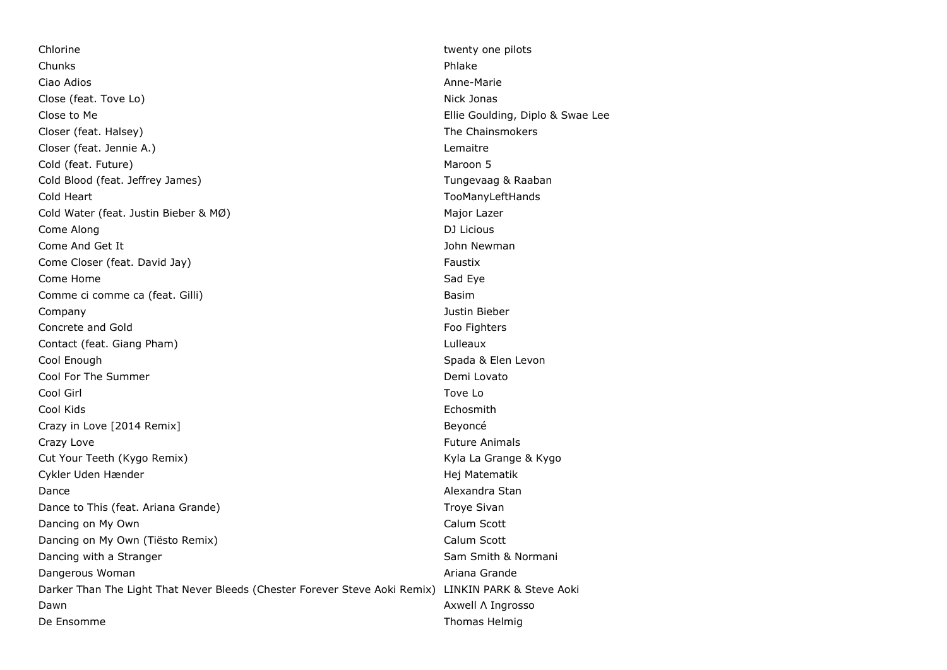Chlorine twenty one pilots and the change of the change of the change of twenty one pilots of the change of the change of the change of the change of the change of the change of the change of the change of the change of th Chunks Phlake Ciao Adios Anne-Marie Close (feat. Tove Lo) Nick Jonas Close to Me **Ellie Goulding, Diplo & Swae Lee** Closer (feat. Halsey) The Chainsmokers and the Chainsmokers and the Chainsmokers and the Chainsmokers Closer (feat. Jennie A.) Lemaitre Cold (feat. Future) Maroon 5 Cold Blood (feat. Jeffrey James) Tungevaag & Raaban Cold Heart TooManyLeftHands Cold Water (feat. Justin Bieber & MØ) Major Lazer Come Along DJ Licious Come And Get It **John Newman** Come Closer (feat. David Jay) Faustix Come Closer (feat. David Jay) Come Home **Sad Eye** Sad Eye Sad Eye Sad Eye Sad Eye Sad Eye Sad Eye Sad Eye Sad Eye Sad Eye Sad Eye Sad Eye Sad Eye Comme ci comme ca (feat. Gilli) Basim Basim Basim Basim Basim Basim Basim Basim Basim Basim Basim Basim Basim Basim Basim Basim Basim Basim Basim Basim Basim Basim Basim Basim Basim Basim Basim Basim Basim Basim Basim Basi Company Justin Bieber Concrete and Gold Foo Fighters Concrete and Gold Foo Fighters Security 2008 Foo Fighters Contact (feat. Giang Pham) Lulleaux Cool Enough Spada & Elen Levon Cool For The Summer Cool For The Summer Cool For The Summer Demi Lovato Cool Girl Tove Lo Cool Kids Echosmith Crazy in Love [2014 Remix] Beyoncé Crazy Love **Future Animals** Crazy Love **Future Animals** Cut Your Teeth (Kygo Remix) and the matrix of the Marian Cut Your Teeth (Kygo Remix) Cykler Uden Hænder Hej Matematik Dance **Alexandra Standard Communication** Communication Communication Communication Alexandra Standard Communication Dance to This (feat. Ariana Grande) Troye Sivan Dancing on My Own **Calum Scott Calum Scott Calum Scott** Dancing on My Own (Tiësto Remix) Calum Scott Dancing with a Stranger Sam Smith & Normani Dangerous Woman **Ariana Grande Contract Contract Contract Contract Contract Contract Contract Contract Contract Contract Contract Contract Contract Contract Contract Contract Contract Contract Contract Contract Contract** Darker Than The Light That Never Bleeds (Chester Forever Steve Aoki Remix) LINKIN PARK & Steve Aoki Dawn Axwell Λ Ingrosso De Ensomme Thomas Helmig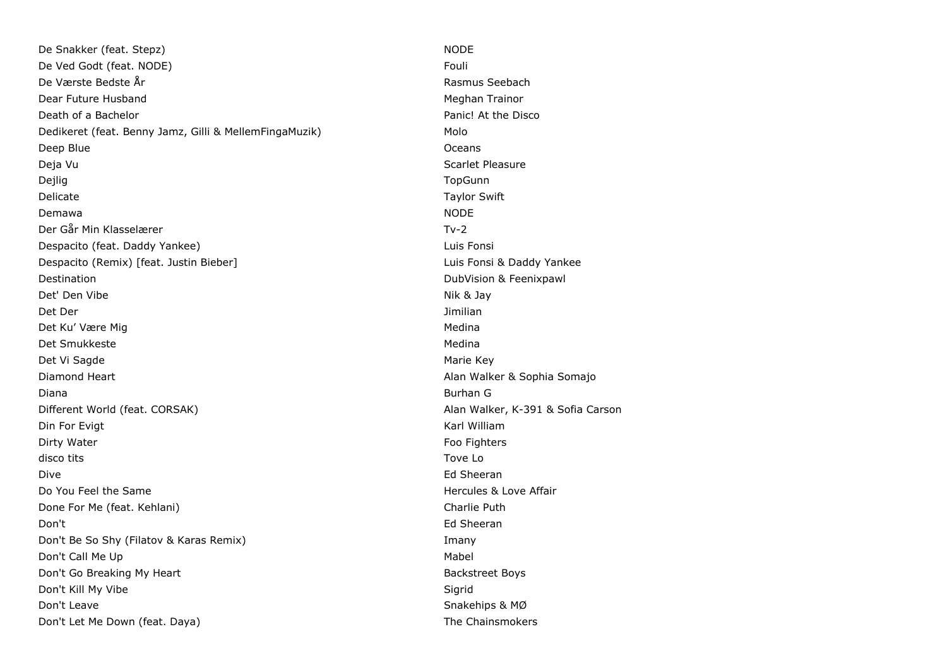De Snakker (feat. Stepz) NODE De Ved Godt (feat. NODE) Fouli and the Ved Godt (feat. NODE) De Værste Bedste År Rasmus Seebach Dear Future Husband Meghan Trainor Communication of the Meghan Trainor Communication of the Meghan Trainor Death of a Bachelor Panic! At the Disco Dedikeret (feat. Benny Jamz, Gilli & MellemFingaMuzik) Molo Deep Blue Oceans and the Oceans of the Oceans of the Oceans of the Oceans of the Oceans of the Oceans of the Oceans of the Oceans of the Oceans of the Oceans of the Oceans of the Oceans of the Oceans of the Oceans of the O Deja Vu Scarlet Pleasure Dejlig TopGunn Delicate Taylor Swift Demawa NODE Der Går Min Klasselærer Tv-2 Despacito (feat. Daddy Yankee) Luis Fonsi Despacito (Remix) [feat. Justin Bieber] Luis Fonsi & Daddy Yankee Destination DubVision & Feenixpawl Det' Den Vibe Nik & Jay (1999) and the Nik & Jay (1999) and the Nik & Jay (1999) and the Nik & Jay (1999) and the Nik & Jay (1999) and the Nik & Jay (1999) and the Nik & Jay (1999) and the Nik & Jay (1999) and the Nik & Ja Det Der Jimilian Det Ku' Være Mig Medina (1999) og det Ku' Være Mig Medina (1999) og det Ku' Være Medina (1999) og det Ku' Være Det Smukkeste Medina and det Smukkeste Medina and det and det and det and det and determine the Medina and det Det Vi Sagde Marie Key (1999) and the Marie Key (1999) and the Marie Key (1999) and the Marie Key (1999) and the Marie Key (1999) and the Marie Key (1999) and the Marie Key (1999) and the Marie Key (1999) and the Marie Key Diamond Heart Alan Walker & Sophia Somajo Diana Burhan G Different World (feat. CORSAK) Alan Walker, K-391 & Sofia Carson Din For Evigt Karl William Communication Communication Communication Communication Communication Communication Dirty Water **Foo Fighters Contract Contract Contract Contract Contract Contract Contract Contract Contract Contract Contract Contract Contract Contract Contract Contract Contract Contract Contract Contract Contract Contr** disco tits Tove Lo Dive Ed Sheeran Do You Feel the Same **Hercules & Love Affair** Done For Me (feat. Kehlani) Charlie Puth Charlie Puth Charlie Puth Charlie Puth Charlie Puth Don't Ed Sheeran Don't Be So Shy (Filatov & Karas Remix) **Imany** Imany Don't Call Me Up and Controller and Controller and Controller and Controller and Mabel Mabel and Mabel and Mabel Don't Go Breaking My Heart Backstreet Boys and the Backstreet Boys Don't Kill My Vibe Sigrid North States and School States and Sigrid Sigrid Sigrid Don't Leave Snakehips & MØ Don't Let Me Down (feat. Daya) and the Chainsmokers and the Chainsmokers of the Chainsmokers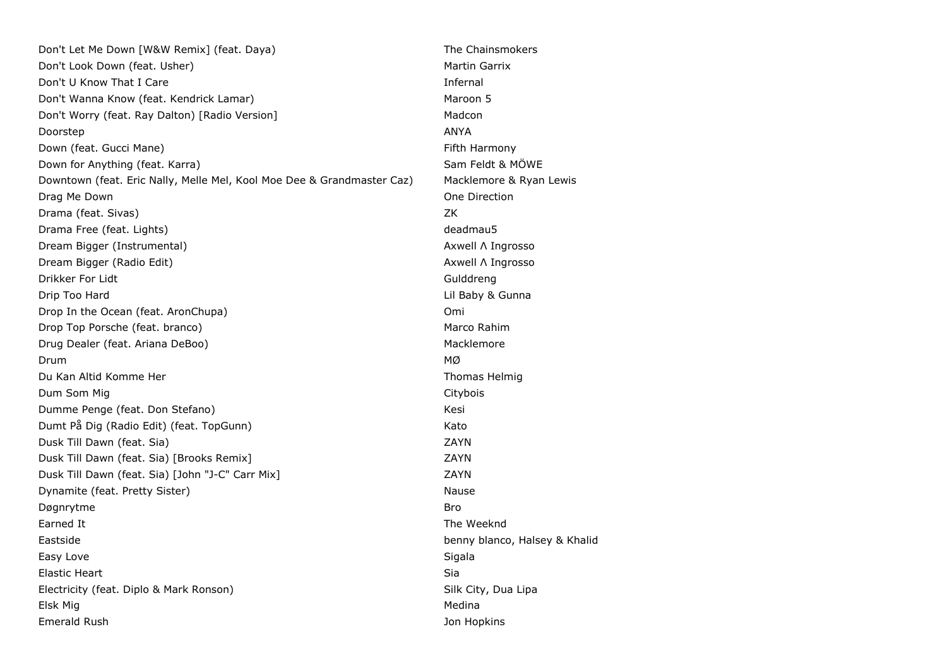| Don't Let Me Down [W&W Remix] (feat. Daya)                             | The Chainsmokers              |
|------------------------------------------------------------------------|-------------------------------|
| Don't Look Down (feat. Usher)                                          | Martin Garrix                 |
| Don't U Know That I Care                                               | Infernal                      |
| Don't Wanna Know (feat. Kendrick Lamar)                                | Maroon 5                      |
| Don't Worry (feat. Ray Dalton) [Radio Version]                         | Madcon                        |
| Doorstep                                                               | ANYA                          |
| Down (feat. Gucci Mane)                                                | Fifth Harmony                 |
| Down for Anything (feat. Karra)                                        | Sam Feldt & MOWE              |
| Downtown (feat. Eric Nally, Melle Mel, Kool Moe Dee & Grandmaster Caz) | Macklemore & Ryan Lewis       |
| Drag Me Down                                                           | One Direction                 |
| Drama (feat. Sivas)                                                    | ΖK                            |
| Drama Free (feat. Lights)                                              | deadmau5                      |
| Dream Bigger (Instrumental)                                            | Axwell A Ingrosso             |
| Dream Bigger (Radio Edit)                                              | Axwell A Ingrosso             |
| Drikker For Lidt                                                       | Gulddreng                     |
| Drip Too Hard                                                          | Lil Baby & Gunna              |
| Drop In the Ocean (feat. AronChupa)                                    | Omi                           |
| Drop Top Porsche (feat. branco)                                        | Marco Rahim                   |
| Drug Dealer (feat. Ariana DeBoo)                                       | Macklemore                    |
| Drum                                                                   | МØ                            |
| Du Kan Altid Komme Her                                                 | Thomas Helmig                 |
| Dum Som Mig                                                            | Citybois                      |
| Dumme Penge (feat. Don Stefano)                                        | Kesi                          |
| Dumt På Dig (Radio Edit) (feat. TopGunn)                               | Kato                          |
| Dusk Till Dawn (feat. Sia)                                             | ZAYN                          |
| Dusk Till Dawn (feat. Sia) [Brooks Remix]                              | ZAYN                          |
| Dusk Till Dawn (feat. Sia) [John "J-C" Carr Mix]                       | ZAYN                          |
| Dynamite (feat. Pretty Sister)                                         | Nause                         |
| Døgnrytme                                                              | Bro                           |
| Earned It                                                              | The Weeknd                    |
| Eastside                                                               | benny blanco, Halsey & Khalid |
| Easy Love                                                              | Sigala                        |
| Elastic Heart                                                          | Sia                           |
| Electricity (feat. Diplo & Mark Ronson)                                | Silk City, Dua Lipa           |
| Elsk Mig                                                               | Medina                        |
| Emerald Rush                                                           | Jon Hopkins                   |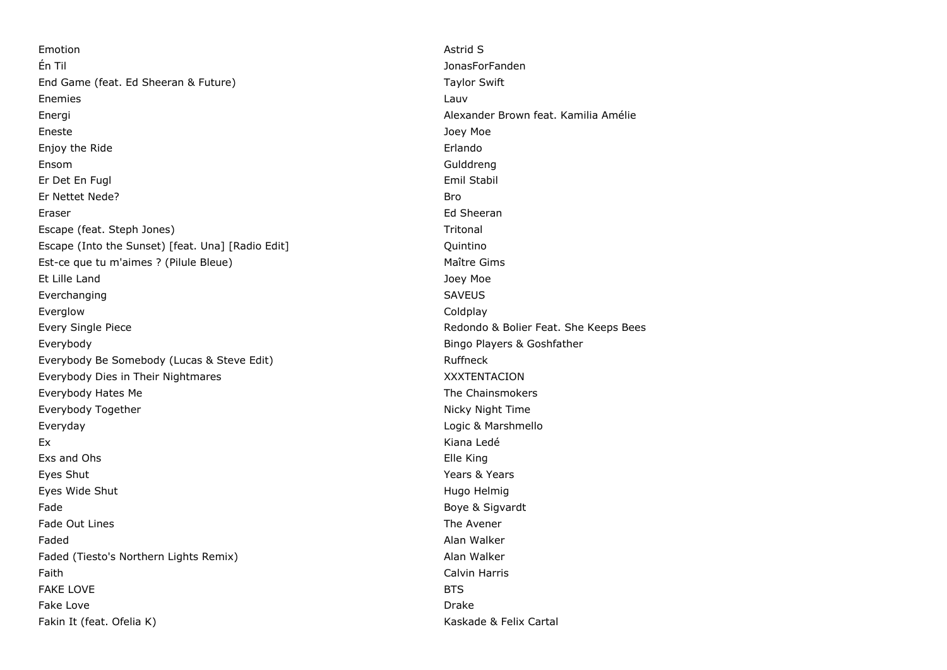Emotion Astrid S Én Til JonasForFanden End Game (feat. Ed Sheeran & Future) Taylor Swift Enemies Lauventure et al. (2009) and the set of the set of the set of the set of the set of the set of the set Energi Alexander Brown feat. Kamilia Amélie Eneste Joey Moe Enjoy the Ride **Example 2008** Erlando Erlando **Example 2008** Erlando **Erlando** Ensom Gulddreng Er Det En Fugl Emil Stabil Er Nettet Nede? Bro Eraser Ed Sheeran Escape (feat. Steph Jones) Tritonal Escape (Into the Sunset) [feat. Una] [Radio Edit] Quintino Est-ce que tu m'aimes ? (Pilule Bleue) Maître Gims Et Lille Land Joey Moe Everchanging SAVEUS Everglow Coldplay Every Single Piece **Redondo & Bolier Feat.** She Keeps Bees Everybody Bingo Players & Goshfather Everybody Be Somebody (Lucas & Steve Edit) Ruffneck Everybody Dies in Their Nightmares XXXTENTACION Everybody Hates Me The Chainsmokers and the Chainsmokers and the Chainsmokers and the Chainsmokers Everybody Together Nicky Night Time Everyday Logic & Marshmello Ex Kiana Ledé Exs and Ohs Elle King Eyes Shut Years & Years Eyes Wide Shut **Hugo Helmig** Eyes Wide Shut Hugo Helmig Helmig Helmig Helmig Helmig Helmig Helmig Helmig Helmig Helmig Helmig Helmig Helmig Helmig Helmig Helmig Helmig Helmig Helmig Helmig Helmig Helmig Helmig Helmig Helmi Fade Boye & Sigvardt and Sigvardt and Sigvardt and Sigvardt and Sigvardt and Sigvardt and Sigvardt and Sigvardt and Sigvardt and Sigvardt and Sigvardt and Sigvardt and Sigvardt and Sigvardt and Sigvardt and Sigvardt and Si Fade Out Lines The Avener The Avener The Avener Search Avenue Avenue Avenue Avenue Avenue Avenue Avenue Avenue Faded Alan Walker (1999) and the set of the set of the set of the set of the set of the set of the set of the set of the set of the set of the set of the set of the set of the set of the set of the set of the set of the se Faded (Tiesto's Northern Lights Remix) and a series of the Malker Alan Walker Faith Calvin Harris FAKE LOVE **BTS** Fake Love Drake Fakin It (feat. Ofelia K) Kaskade & Felix Cartal Kaskade & Felix Cartal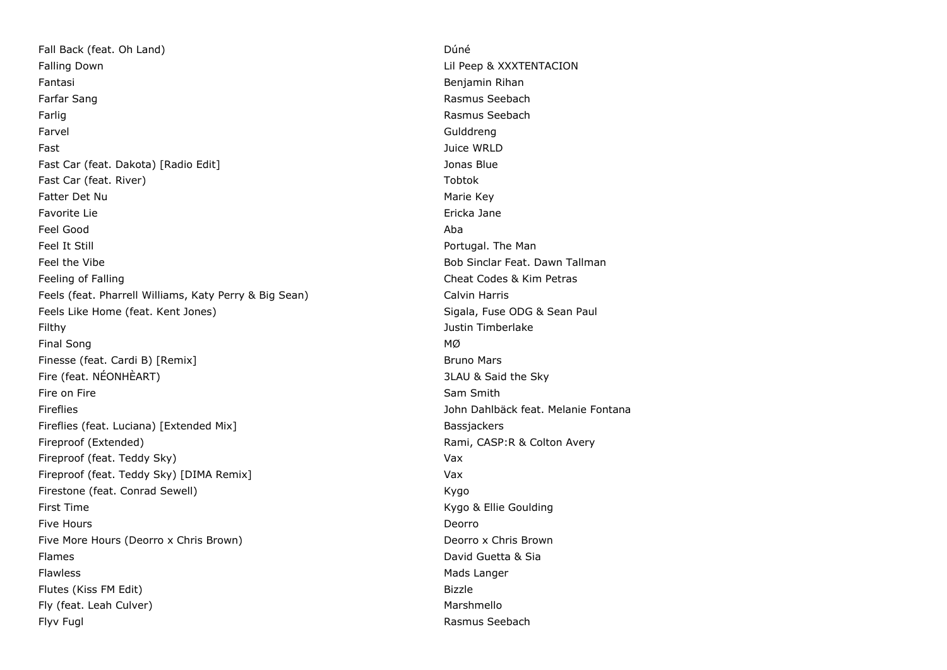Fall Back (feat. Oh Land) Dúné Falling Down **Example 2018** 2019 12:30 The United States of the United States of the United States of the United States of the United States of the United States of the United States of the United States of the United Stat Fantasi Benjamin Rihan Farfar Sang Rasmus Seebach and The Contract of the Contract of the Contract of the Contract of the Contract of the Contract of the Contract of the Contract of the Contract of the Contract of the Contract of the Contract of Farlig Rasmus Seebach Farvel Gulddreng Fast Juice WRLD Fast Car (feat. Dakota) [Radio Edit] Jonas Blue Fast Car (feat. River) Tobtok The Care (feat. River) Tobtok Tobtok The Tobtok The Tobtok The Tobtok The Tobtok Fatter Det Nu and The State of the State of the State of the Marie Key Favorite Lie et al. et al. et al. et al. et al. et al. et al. et al. et al. et al. et al. et al. et al. et al. Feel Good Aba Feel It Still **For the Manual Portugal. The Manual Portugal.** The Manual Portugal. The Manual Portugal. The Manual Portugal. The Manual Portugal. The Manual Portugal. The Manual Portugal. The Manual Portugal. The Manual Po Feel the Vibe Bob Sinclar Feat. Dawn Tallman Feeling of Falling Cheat Codes & Kim Petras Feels (feat. Pharrell Williams, Katy Perry & Big Sean) Calvin Harris Calvin Harris Feels Like Home (feat. Kent Jones) Sigala, Fuse ODG & Sean Paul Filthy Justin Timberlake Final Song MØ Finesse (feat. Cardi B) [Remix] Bruno Mars Fire (feat. NÉONHÈART) 3LAU & Said the Sky Fire on Fire Sam Smith Sam Smith Sam Smith Sam Smith Sam Smith Sam Smith Sam Smith Fireflies John Dahlbäck feat. Melanie Fontana Fireflies (feat. Luciana) [Extended Mix] Bassjackers Bassjackers Fireproof (Extended) **Rami, CASP:R & Colton Avery** Rami, CASP:R & Colton Avery Fireproof (feat. Teddy Sky) Vax Fireproof (feat. Teddy Sky) [DIMA Remix] Vax Firestone (feat. Conrad Sewell) **Kygo Kygo** First Time **Kygo & Ellie Goulding** Five Hours **Department Control** Control Control Control Control Control Control Control Control Control Control Control Control Control Control Control Control Control Control Control Control Control Control Control Contro Five More Hours (Deorro x Chris Brown) **Deorro x Chris Brown** Flames David Guetta & Sia Flawless **Mads Langer** Mads Langer Flutes (Kiss FM Edit) Fly (feat. Leah Culver) and the control of the matter of the Marshmello Flyv Fugl Rasmus Seebach and The Rasmus Seebach Rasmus Seebach and The Rasmus Seebach and The Rasmus Seebach and The Rasmus Seebach and The Rasmus Seebach and The Rasmus Seebach and The Rasmus Seebach and The Rasmus Seebac

Bizzle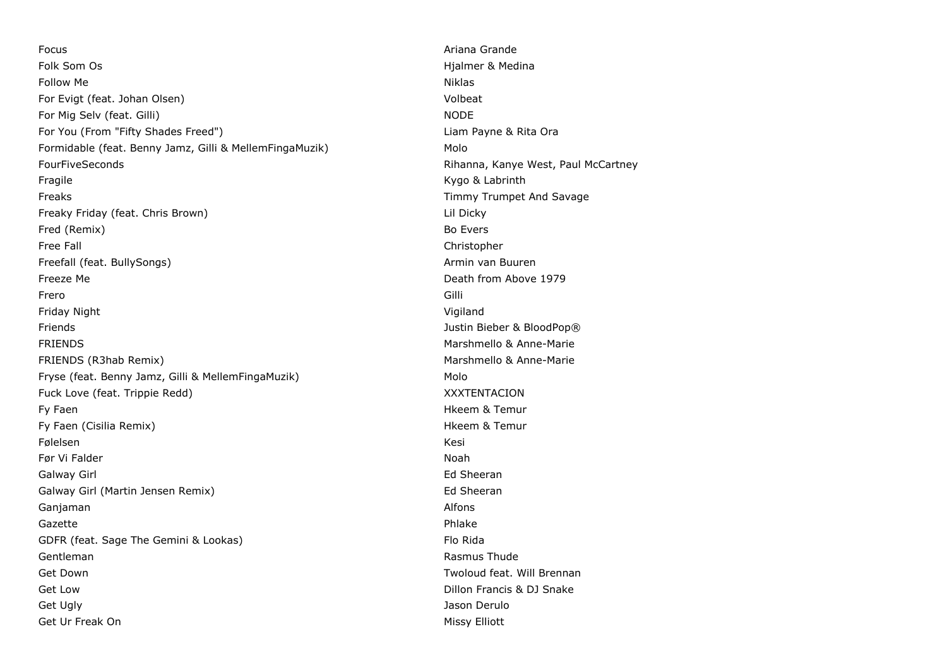Focus Ariana Grande Folk Som Os **Highland Som Os** Highland Som Os **Highland Som Os** Highland Som Os **Highland Som Os** Highland Som Os Follow Me Niklas For Evigt (feat. Johan Olsen) Volbeat For Mig Selv (feat. Gilli) NODE For You (From "Fifty Shades Freed") Liam Payne & Rita Ora Formidable (feat. Benny Jamz, Gilli & MellemFingaMuzik) Molo FourFiveSeconds **Richards** Rihanna, Kanye West, Paul McCartney Fragile **Kygo & Labrinth** Kygo & Labrinth Freaks Timmy Trumpet And Savage Freaky Friday (feat. Chris Brown) Lil Dicky Fred (Remix) Bo Evers Free Fall Christopher Christopher Christopher Christopher Christopher Christopher Christopher Christopher Christopher Christopher Christopher Christopher Christopher Christopher Christopher Christopher Christopher Christop Freefall (feat. BullySongs) Armin van Buuren Armin van Buuren Freeze Me Death from Above 1979 Frero Gilli Friday Night Vigiland Friends Justin Bieber & BloodPop® FRIENDS Marshmello & Anne-Marie FRIENDS (R3hab Remix) Marshmello & Anne-Marie Fryse (feat. Benny Jamz, Gilli & MellemFingaMuzik) Molo Fuck Love (feat. Trippie Redd) National American Control of ASS XXXTENTACION Fy Faen **History Community Community** Community Community Community Community Community Community Community Community Community Community Community Community Community Community Community Community Community Community Comm Fy Faen (Cisilia Remix) **Highlands** Contact Contact Contact Contact Contact Contact Contact Contact Contact Contact Contact Contact Contact Contact Contact Contact Contact Contact Contact Contact Contact Contact Contact Co Følelsen Kesi († 1938) Før Vi Falder i 1999 i 1999 ble stofballet i 1999 ble stofballet i 1999 ble stofballet i 1999 ble stofballet i Galway Girl **Ed Sheeran** Galway Girl (Martin Jensen Remix) and the state of the Sheeran Ed Sheeran Ganjaman Alfons and the Community of the Community of the Community of the Community of the Community of the Community of the Community of the Community of the Community of the Community of the Community of the Community o Gazette Phlake GDFR (feat. Sage The Gemini & Lookas) Flo Rida Gentleman **Rasmus Thude** Get Down Two Controllers and the Controllers of the Controllers of the Two Controllers and Two Controllers and Two Controllers and Two Controllers and Two Controllers and Two Controllers and Two Controllers and Two Control Get Low Grand Control of the Control of Control of Control of Control of Control of Control of Control of Control of Control of Control of Control of Control of Control of Control of Control of Control of Control of Contro Get Ugly Jason Derulo Get Ur Freak On **Missy Elliott** Communist Communist Communist Communist Communist Communist Communist Communist Communist Communist Communist Communist Communist Communist Communist Communist Communist Communist Communist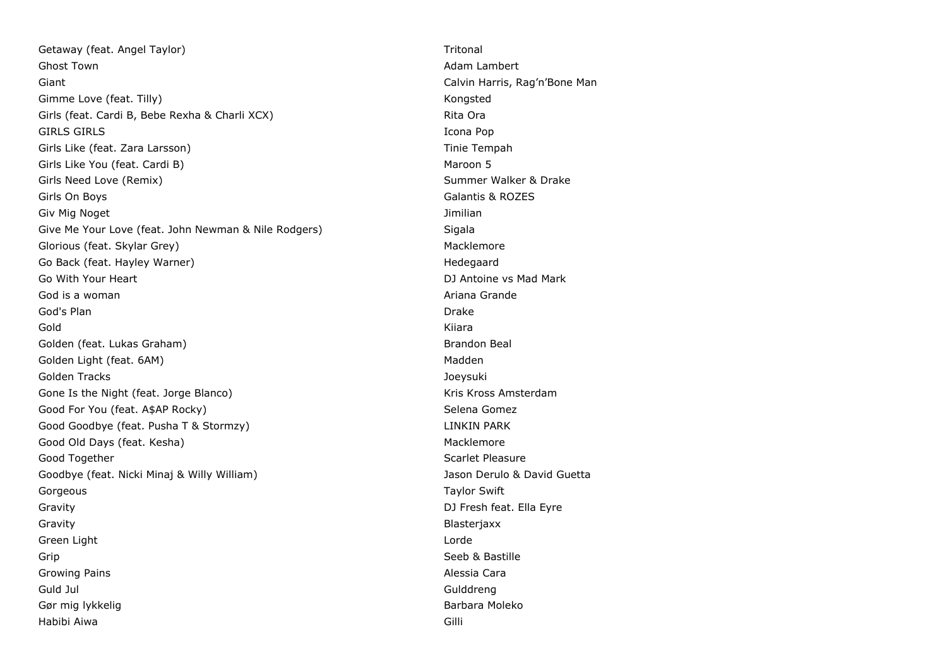Getaway (feat. Angel Taylor) The Contract of the Contract of Tritonal Contract of Tritonal Contract of Tritonal Ghost Town **Adam Lambert** Constitution of the Constitution of the Constitution of the Constitution of the Constitution of the Constitution of the Constitution of the Constitution of the Constitution of the Constitution of Giant Giant Calvin Harris, Rag'n'Bone Man Gimme Love (feat. Tilly) Sample 2014 and the Congress of the Congress of the Congress of the Congress of the Congress of the Congress of the Congress of the Congress of the Congress of the Congress of the Congress of the C Girls (feat. Cardi B, Bebe Rexha & Charli XCX) and the control of the Rita Ora GIRLS GIRLS Icona Pop Girls Like (feat. Zara Larsson) Tinie Tempah Girls Like You (feat. Cardi B) Maroon 5 Girls Need Love (Remix) Summer Walker & Drake Contact Active Summer Walker & Drake Girls On Boys Galantis & ROZES Giv Mig Noget Jimilian Give Me Your Love (feat. John Newman & Nile Rodgers) Sigala Glorious (feat. Skylar Grey) Macklemore (Skylar Grey) Macklemore Go Back (feat. Hayley Warner) Manual Hedegaard Hedegaard Hedegaard Go With Your Heart **DJ** Antoine vs Mad Mark God is a woman and a series of the series of the series of the series of the Series of the Series of the Series of the Series of the Series of the Series of the Series of the Series of the Series of the Series of the Serie God's Plan Drake Gold Kiiara Golden (feat. Lukas Graham) Brandon Beal and Brandon Beal and Brandon Beal and Brandon Beal Golden Light (feat. 6AM) and the state of the state of the state of the state of the Madden Golden Tracks Joeysuki Gone Is the Night (feat. Jorge Blanco) South American Manuson Control of Kris Kross Amsterdam Good For You (feat. A\$AP Rocky) Selena Gomez Good Goodbye (feat. Pusha T & Stormzy) LINKIN PARK Good Old Days (feat. Kesha) Macklemore Nacklemore Good Together Scarlet Pleasure Controller Scarlet Pleasure Scarlet Pleasure Goodbye (feat. Nicki Minaj & Willy William) Jason Derulo & David Guetta Gorgeous **Taylor Swift** Gravity DJ Fresh feat. Ella Eyre Gravity **Blasteriaxx** Green Light Lorde and Communication of the Communication of the Communication of the Communication of the Communication of the Communication of the Communication of the Communication of the Communication of the Communicati Grip Seeb & Bastille Growing Pains Alessia Cara Guld Jul Gulddreng Gør mig lykkelig Barbara Moleko Habibi Aiwa Gilli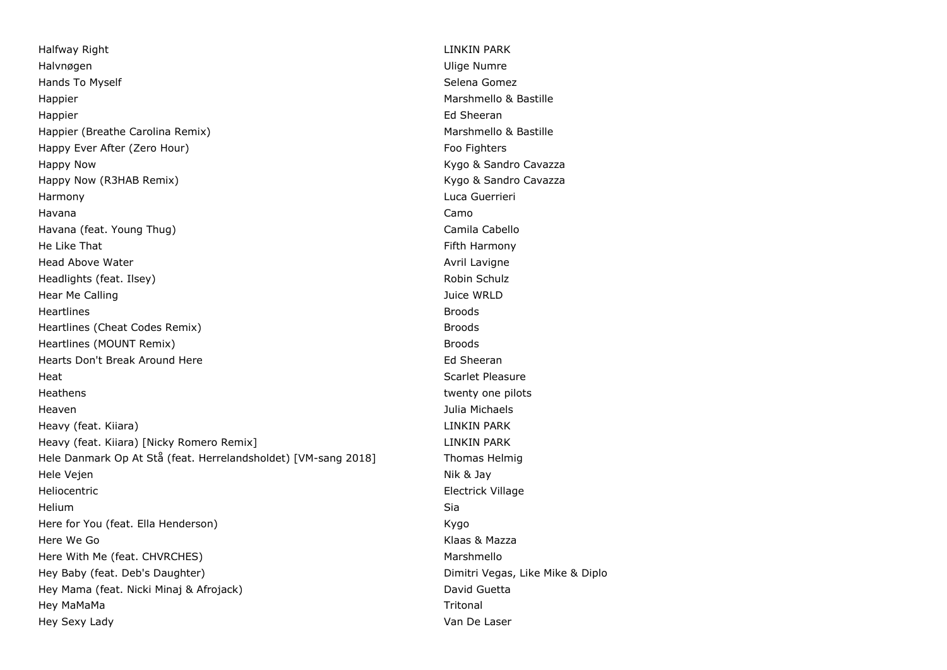Halfway Right LINKIN PARK New York 1999 (No. 1999) and the United States of the UNIX PARK New York 1999 (No. 1 Halvnøgen Ulige Numre Hands To Myself Selena Gomez Selena Gomez Selena Gomez Selena Gomez Selena Gomez Selena Gomez Selena Gomez Selena Gomez Happier **Marshmello & Bastille** Happier Ed Sheeran Happier (Breathe Carolina Remix) and the matter of the Marshmello & Bastille Happy Ever After (Zero Hour) Foo Fighters and the United States of Food Fighters Happy Now **Kygo & Sandro Cavazza** Happy Now (R3HAB Remix) The Cavazza Cavazza Cavazza Cavazza Cavazza Cavazza Cavazza Harmony Luca Guerrieri Havana Camo Havana (feat. Young Thug) Camila Cabello He Like That Fifth Harmony and the United States of the Eigenberg Harmony and The Fifth Harmony Head Above Water Avril Lavigne Water Avril Lavigne Controller Avril Lavigne Avril Lavigne Headlights (feat. Ilsey) Robin Schulz Energy Robin Schulz Energy Robin Schulz Hear Me Calling The Calling Contract of the Calling Studies of the Calling Theorem and the Calling Theorem and The Calling Theorem and The Calling Theorem and The Calling Theorem and The Calling Theorem and The Calling The Heartlines Broods Heartlines (Cheat Codes Remix) and the matter of the Broods Broods and the Broods Broods Broods and the Broods Heartlines (MOUNT Remix) and the matter of the matter of the state of the state of the state of the state of the state of the state of the state of the state of the state of the state of the state of the state of the state Hearts Don't Break Around Here **Ed Sheeran** Ed Sheeran Heat Scarlet Pleasure **Scarlet Pleasure** Heathens twenty one pilots that the extent of the twenty one pilots of the twenty one pilots of the twenty one pilots of the twenty one pilots of the twenty one pilots of the twenty one pilots of the twenty of the twenty o Heaven Julia Michaels Heavy (feat. Kiiara) LINKIN PARK Heavy (feat. Kiiara) [Nicky Romero Remix] LINKIN PARK Hele Danmark Op At Stå (feat. Herrelandsholdet) [VM-sang 2018] Thomas Helmig Hele Vejen Nik & Jay Heliocentric **Electrick Village** Helium Sia Here for You (feat. Ella Henderson) and the state of the Kygo Here We Go Klaas & Mazza Here With Me (feat. CHVRCHES) Marshmello Hey Baby (feat. Deb's Daughter) Dimitri Vegas, Like Mike & Diplo Hey Mama (feat. Nicki Minaj & Afrojack) David Guetta Hey MaMaMa Tritonal Hey Sexy Lady Van De Laser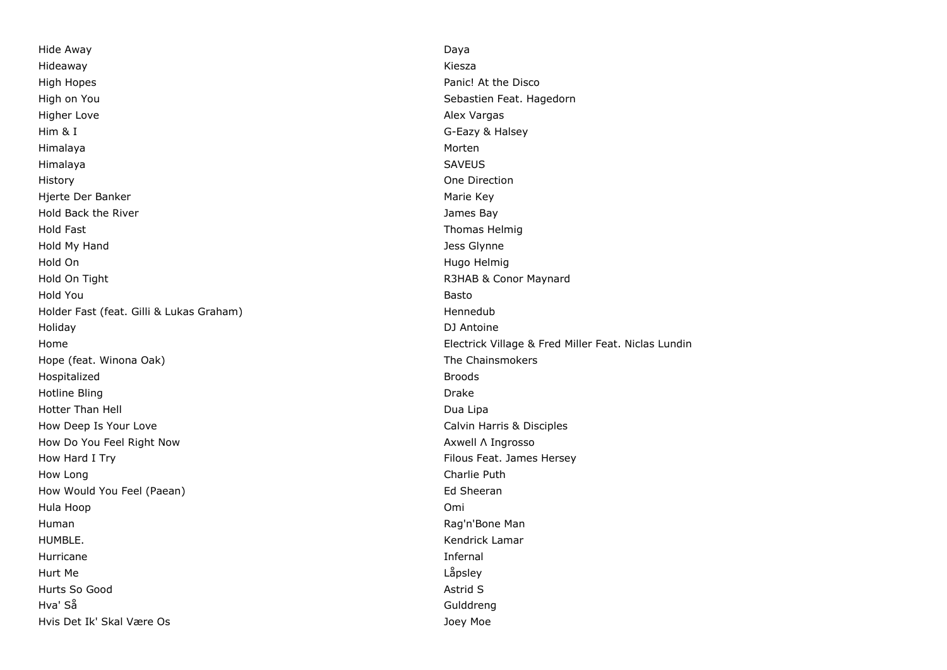Hide Away Daya Hideaway Kiesza High Hopes Panic! At the Disco High on You Sebastien Feat. Hagedorn Higher Love **Alex Vargas** Alex Vargas Alex Vargas Alex Vargas Alex Vargas Alex Vargas Alex Vargas Alex Vargas Alex Vargas Alex Vargas Alex Vargas Alex Vargas Alex Vargas Alex Vargas Alex Vargas Alex Vargas Alex Vargas Alex Him & I G-Eazy & Halsey Himalaya Morten Himalaya SAVEUS History One Direction Hierte Der Banker Marie Key (Marie Key Marie Key Marie Key Marie Key Marie Key Marie Key Marie Key Marie Key Marie Key (Marie Key Marie Key Marie Key Marie Key Marie Key Marie Key (Marie Key Marie Key Marie Key Marie Key M Hold Back the River **Value 2018 Hold Back the River All Contracts** and the *James Bay* Hold Fast Thomas Helmig Hold My Hand Jess Glynne Hold On Hugo Helmig Hold On Tight R3HAB & Conor Maynard Hold You Basto Holder Fast (feat. Gilli & Lukas Graham) and the state of the Hennedub Holiday DJ Antoine Hope (feat. Winona Oak) and The Chainsmokers and The Chainsmokers Hospitalized **Broods** Hotline Bling **Drake** Hotter Than Hell **Hotter Than Hell** Dua Lipa How Deep Is Your Love Calvin Harris & Disciples How Do You Feel Right Now Axwell Λ Ingrosso How Hard I Try Filous Feat. James Hersey How Long Charlie Puth How Would You Feel (Paean) South American State of Sheeran Ed Sheeran Ed Sheeran Hula Hoop Omi Human Rag'n'Bone Man HUMBLE. Kendrick Lamar Hurricane Infernal Hurt Me Låpsley Hurts So Good **Astrid South Astrid South Astrid S** Hva' Så Gulddreng Hvis Det Ik' Skal Være Os Joey Moe

Home Electrick Village & Fred Miller Feat. Niclas Lundin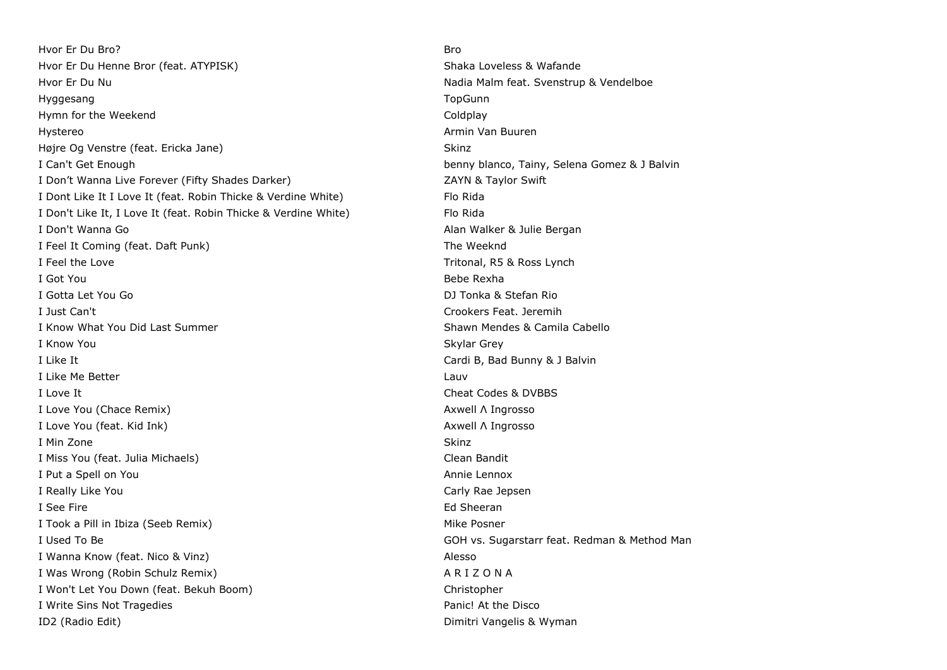Hvor Er Du Bro? Bro Hvor Er Du Henne Bror (feat. ATYPISK) Shaka Loveless & Wafande Hvor Er Du Nu Nadia Malm feat. Svenstrup & Vendelboe Hyggesang TopGunn and the term of the term of the term of the term of the term of the term of the term of the term of the term of the term of the term of the term of the term of the term of the term of the term of the term Hymn for the Weekend **Coldpany** Coldplay Hystereo Armin Van Buuren (1999) en de Armin Van Buuren (1999) en de Armin Van Buuren (1999) en de Armin Van Buuren Højre Og Venstre (feat. Ericka Jane) Skinz Skinz Skinz Skinz I Can't Get Enough benny blanco, Tainy, Selena Gomez & J Balvin I Don't Wanna Live Forever (Fifty Shades Darker) The Case of the CAYN & Taylor Swift I Dont Like It I Love It (feat. Robin Thicke & Verdine White) Flo Rida I Don't Like It, I Love It (feat. Robin Thicke & Verdine White) Flo Rida I Don't Wanna Go **Alan Walker & Julie Bergan** I Feel It Coming (feat. Daft Punk) The Weeknd I Feel the Love Tritonal, R5 & Ross Lynch I Got You Bebe Rexha I Gotta Let You Go DJ Tonka & Stefan Rio I Just Can't Crookers Feat. Jeremih I Know What You Did Last Summer Shawn Mendes & Camila Cabello I Know You Skylar Grey I Like It **I** Like It **Cardi B**, Bad Bunny & J Balvin I Like Me Better Lauvene and the United States of the United States and Lauvene and Lauvene and Lauvene and La I Love It Cheat Codes & DVBBS I Love You (Chace Remix) Axwell Λ Ingrosso I Love You (feat. Kid Ink) Axwell Λ Ingrosso I Min Zone Skinz (1999) and the Skinz (1999) and the Skinz (1999) and the Skinz (1999) and the Skinz (1999) and I Miss You (feat. Julia Michaels) Clean Bandit I Put a Spell on You **Annie Lennox Annie Lennox** I Really Like You Carly Rae Jepsen I See Fire **Ed Sheeran** I Took a Pill in Ibiza (Seeb Remix) and the state of the Mike Posner and Mike Posner I Used To Be GOH vs. Sugarstarr feat. Redman & Method Man Company of GOH vs. Sugarstarr feat. Redman & Method Man I Wanna Know (feat. Nico & Vinz) Alesso I Was Wrong (Robin Schulz Remix) A R I Z O N A I Won't Let You Down (feat. Bekuh Boom) Christopher Christopher I Write Sins Not Tragedies **Panic!** At the Disco ID2 (Radio Edit) Dimitri Vangelis & Wyman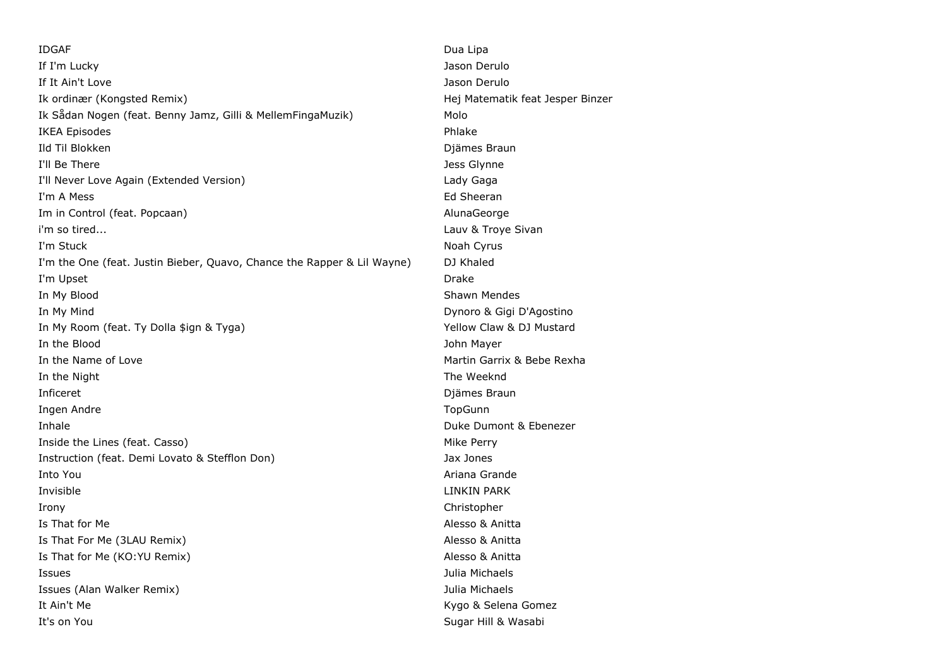IDGAF Dua Lipa If I'm Lucky Jason Derulo If It Ain't Love Jason Derulo Ik ordinær (Kongsted Remix) Hej Matematik feat Jesper Binzer Ik Sådan Nogen (feat. Benny Jamz, Gilli & MellemFingaMuzik) Molo IKEA Episodes Phlake **Ild Til Blokken** Diämes Braun I'll Be There Jess Glynne I'll Never Love Again (Extended Version) Lady Gaga I'm A Mess Ed Sheeran Im in Control (feat. Popcaan) AlunaGeorge and AlunaGeorge i'm so tired... Lauv & Troye Sivan I'm Stuck Noah Cyrus and the United Studies of the United Studies of the United Studies of the United Studies of the United Studies of the United Studies of the United Studies of the United Studies of the United Studies of I'm the One (feat. Justin Bieber, Quavo, Chance the Rapper & Lil Wayne) DJ Khaled I'm Upset **Drake** In My Blood **Shawn Mendes** In My Mind Dynoro & Gigi D'Agostino In My Room (feat. Ty Dolla \$ign & Tyga) Yellow Claw & DJ Mustard In the Blood John Mayer In the Name of Love **Martin Garrix & Bebe Rexha** In the Night The Weeknd **Inficeret** Diames Braun and Diames Braun and Diames Braun and Diames Braun and Diames Braun and Diames Braun and Diames Braun and Diames Braun and Diames Braun and Diames Braun and Diames Braun and Diames Braun and Diames Ingen Andre TopGunn **Inhale** Duke Dumont & Ebenezer Inside the Lines (feat. Casso) and the settlement of the Mike Perry Instruction (feat. Demi Lovato & Stefflon Don) Jax Jones Into You Ariana Grande Invisible LINKIN PARK Irony Christopher Is That for Me **Alesso & Anitta** Is That For Me (3LAU Remix) Alesso & Anitta Is That for Me (KO:YU Remix) and a state of the Messo & Anitta Alesso & Anitta Issues Julia Michaels Issues (Alan Walker Remix) Julia Michaels It Ain't Me **Kygo & Selena Gomez It Ain't Me** It's on You **Sugar Hill & Wasabi It's on You**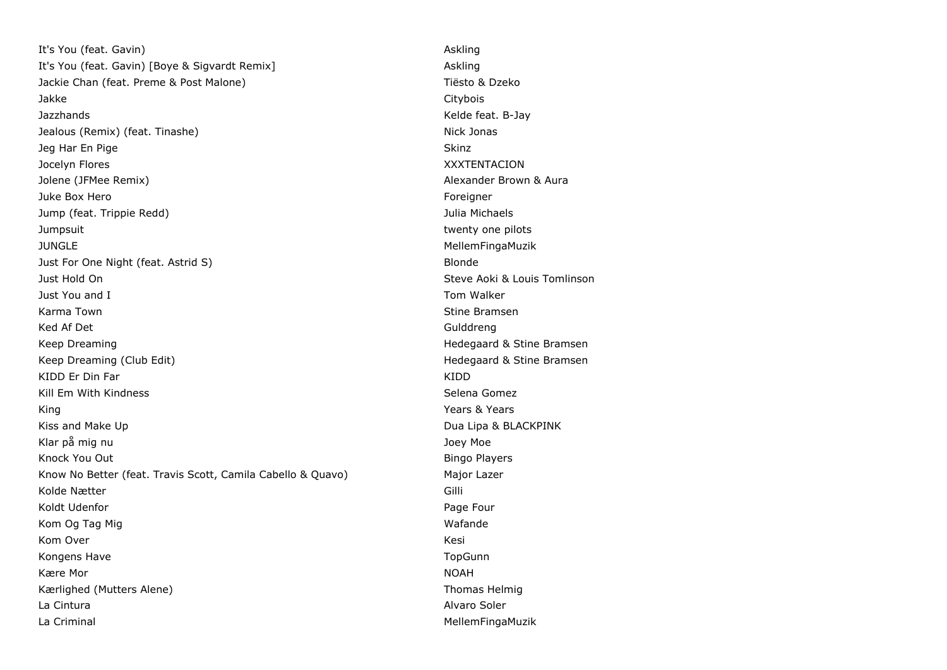It's You (feat. Gavin) and the state of the state of the state of the state of the state of the state of the state of the state of the state of the state of the state of the state of the state of the state of the state of It's You (feat. Gavin) [Boye & Sigvardt Remix] Askling Jackie Chan (feat. Preme & Post Malone) Tiësto & Dzeko Jakke Citybois Jazzhands Kelde feat. B-Jay Jealous (Remix) (feat. Tinashe) Nick Jonas **Jeg Har En Pige Skinz** Jocelyn Flores XXXTENTACION Jolene (JFMee Remix) Alexander Brown & Aura Juke Box Hero Foreigner and the state of the state of the state of the state of the state of the state of the state of the state of the state of the state of the state of the state of the state of the state of the state of Jump (feat. Trippie Redd) Julia Michaels Jumpsuit twenty one pilots JUNGLE MellemFingaMuzik Just For One Night (feat. Astrid S) Blonde Just Hold On Steve Aoki & Louis Tomlinson Just You and I Tom Walker Karma Town Stine Bramsen New York 1989, New York 1989, New York 1989, New York 1989, New York 1989, New York 1 Ked Af Det Gulddreng and Gulddreng and Gulddreng and Gulddreng and Gulddreng and Gulddreng and Gulddreng and Gulddreng and Gulddreng and Gulddreng and Gulddreng and Gulddreng and Gulddreng and Gulddreng and Gulddreng and G Keep Dreaming Hedegaard & Stine Bramsen Keep Dreaming (Club Edit) Manus (Club Edit) Hedegaard & Stine Bramsen KIDD Er Din Far Kiddel (1999) and the Second Control of the Second Control of the Second Control of the Second Control of the Second Control of the Second Control of the Second Control of the Second Control of the Second C Kill Em With Kindness Selena Gomez Selena Gomez King Years & Years & Years & Years & Years & Years & Years & Years & Years & Years & Years & Years & Years & Years & Years & Years & Years & Years & Years & Years & Years & Years & Years & Years & Years & Years & Years & Y Kiss and Make Up **Dua Lipa & BLACKPINK** Klar på mig nu var att stort att stort att andet andet and the stort of the stort of the Joey Moe Knock You Out **Bingo Players Bingo Players Bingo Players** Know No Better (feat. Travis Scott, Camila Cabello & Quavo) Major Lazer Kolde Nætter Gilli Koldt Udenfor **Page Four** Page Four Page Four Page Four Page Four Kom Og Tag Mig Wafande Wafande Wafande Wafande Wafande Wafande Wafande Wafande Wafande Wafande Wafande Wafande Kom Over Kesi (Komedia) waa ku sheegaal ka sida ka sida dhaqaal ka sida ka sida ka sida ka sida ka sida ka sida<br>Aasiyaha ka sida ka sida ka sida ka sida ka sida ka sida ka sida ka sida ka sida ka sida ka sida ka sida ka si Kongens Have The TopGunn Construction of the TopGunn Construction of the TopGunn TopGunn Kære Mor Noah i Noah i Noah i Noah i Noah i Noah i Noah i Noah i Noah i Noah i Noah i Noah i Noah i Noah i No Kærlighed (Mutters Alene) Thomas Helmig La Cintura Alvaro Soler La Criminal de La Criminal de La Criminal de La Criminal de La Criminal de La Criminal de La Criminal de La Cri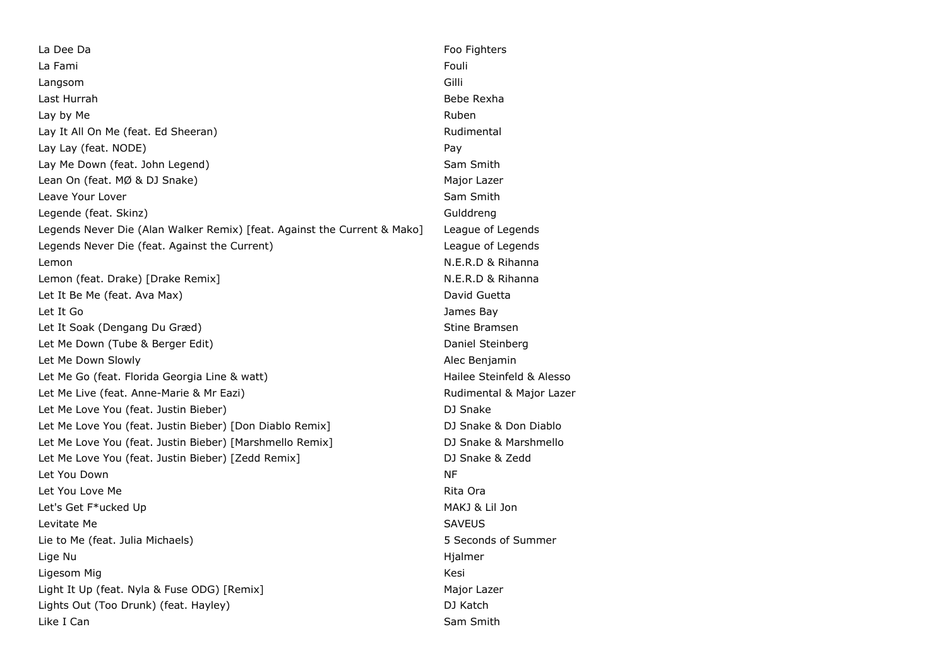La Dee Da Football and the Contract of the Contract of the Football and The Football and The Football and The Football and The Football and The Football and The Football and The Football and The Football and The Football a La Fami Fouling and the contract of the contract of the contract of the contract of the contract of the contract of the contract of the contract of the contract of the contract of the contract of the contract of the contra Langsom Gilli Last Hurrah Bebe Rexha Lay by Me Ruben and the Ruben and the Ruben and the Ruben and the Ruben and the Ruben and the Ruben and the Ruben Lay It All On Me (feat. Ed Sheeran) and the state of the Rudimental Rudimental Lay Lay (feat. NODE) **Pay** Lay Me Down (feat. John Legend) Sam Smith Lean On (feat. MØ & DJ Snake) Major Lazer Leave Your Lover Sam Smith Legende (feat. Skinz) Gulddreng Legends Never Die (Alan Walker Remix) [feat. Against the Current & Mako] League of Legends Legends Never Die (feat. Against the Current) League of Legends Lemon N.E.R.D & Rihanna Lemon (feat. Drake) [Drake Remix] N.E.R.D & Rihanna Let It Be Me (feat. Ava Max) and the Controller of the Controller of the David Guetta Let It Go James Bay Let It Soak (Dengang Du Græd) Stine Bramsen Let Me Down (Tube & Berger Edit) Daniel Steinberg Let Me Down Slowly **Alec Benjamin** Let Me Go (feat. Florida Georgia Line & watt) Mailee Steinfeld & Alesso Let Me Live (feat. Anne-Marie & Mr Eazi) and a more controlled a Rudimental & Major Lazer Let Me Love You (feat. Justin Bieber) DJ Snake Let Me Love You (feat. Justin Bieber) [Don Diablo Remix] [2012] DJ Snake & Don Diablo Let Me Love You (feat. Justin Bieber) [Marshmello Remix] DJ Snake & Marshmello Let Me Love You (feat. Justin Bieber) [Zedd Remix] DJ Snake & Zedd Let You Down NF Let You Love Me **Rita Ora Rita Ora Rita Ora Rita Ora Rita Ora Rita Ora Rita Ora** Let's Get F\*ucked Up and the set of the set of the MAKJ & Lil Jon Levitate Me SAVEUS Lie to Me (feat. Julia Michaels) 5 Seconds of Summer Lige Nu Hjalmer Ligesom Mig **Kesi** Light It Up (feat. Nyla & Fuse ODG) [Remix] Major Lazer Major Lazer Lights Out (Too Drunk) (feat. Hayley) DJ Katch Like I Can Smith Sam Smith Sam Smith Sam Smith Sam Smith Sam Smith Sam Smith Sam Smith Sam Smith Sam Smith Sam Smith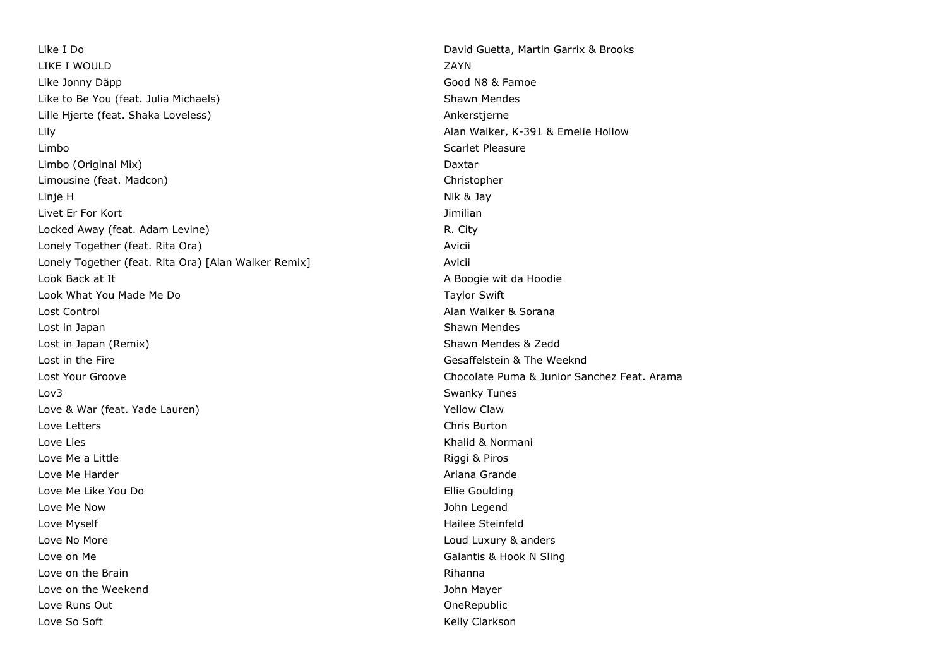Like I Do David Guetta, Martin Garrix & Brooks LIKE I WOULD ZAYN Like Jonny Däpp Good N8 & Famoe Like to Be You (feat. Julia Michaels) Shawn Mendes Lille Hjerte (feat. Shaka Loveless) Ankerstjerne Lily Alan Walker, K-391 & Emelie Hollow Limbo Scarlet Pleasure Limbo (Original Mix) Daxtar Limousine (feat. Madcon) Christopher Christopher Christopher Christopher Christopher Linje H Nik & Jay Livet Er For Kort Jimilian Locked Away (feat. Adam Levine) R. City Lonely Together (feat. Rita Ora) Avicii Lonely Together (feat. Rita Ora) [Alan Walker Remix] [1999] Avicii Look Back at It A Boogie wit da Hoodie wit da Hoodie wit da Hoodie wit da Hoodie wit da Hoodie wit da Hoodie wit da Hoodie Look What You Made Me Do Taylor Swift All Annual Media and Taylor Swift Swift All Annual Media and Taylor Swift Lost Control Alan Walker & Sorana Lost in Japan Shawn Mendes and Shawn Mendes Shawn Mendes Shawn Mendes Shawn Mendes Lost in Japan (Remix) Shawn Mendes & Zedd Lost in the Fire Gesaffelstein & The Weeknd Lost Your Groove Chocolate Puma & Junior Sanchez Feat. Arama Lov3 Swanky Tunes Love & War (feat. Yade Lauren) Manual Communication of the Vellow Claw Love Letters Chris Burton Love Lies Khalid & Normani Love Me a Little **Example 2018** 2019 12:30 Nine a Little Riggi & Piros Love Me Harder Ariana Grande Love Me Like You Do **Ellie Goulding** Love Me Now John Legend Love Myself **Hailee Steinfeld** Love No More Loud Luxury & anders Love on Me Galantis & Hook N Sling Love on the Brain **Rights** and the Brain Rihanna Rihanna Rihanna Rihanna Rihanna Rihanna Rihanna Rihanna Rihanna Love on the Weekend **Value 2018** 2019 12:00 12:00 12:00 12:00 12:00 12:00 12:00 12:00 12:00 12:00 12:00 12:00 12:00 12:00 12:00 12:00 12:00 12:00 12:00 12:00 12:00 12:00 12:00 12:00 12:00 12:00 12:00 12:00 12:00 12:00 12:0 Love Runs Out OneRepublic Love So Soft **Kelly Clarkson**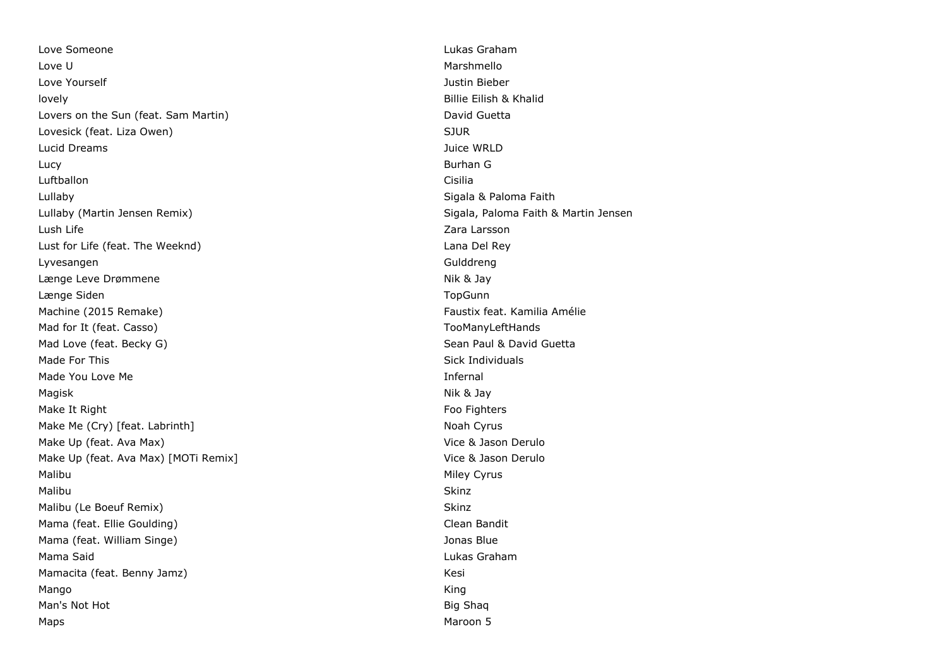Love Someone Lukas Graham Love U Marshmello Love Yourself Justin Bieber lovely Billie Eilish & Khalid Lovers on the Sun (feat. Sam Martin) and David Guetta David Guetta Lovesick (feat. Liza Owen) SUR Contract the Superior of the Superior SUR SUR Lucid Dreams Juice WRLD Lucy Burhan G Luftballon Cisilia Lullaby Sigala & Paloma Faith Lullaby (Martin Jensen Remix) Sigala, Paloma Faith & Martin Jensen **Lush Life** Zara Larsson Lust for Life (feat. The Weeknd) Lana Del Rey Lyvesangen Gulddreng Længe Leve Drømmene Nik & Jay Længe Siden **Market Siden Siden Siden Siden Siden Siden Siden Siden Siden Siden Siden Siden Siden Siden Siden S** Machine (2015 Remake) Faustix feat. Kamilia Amélie Mad for It (feat. Casso) TooManyLeftHands Mad Love (feat. Becky G) Mad Love (feat. Becky G) Made For This Sick Individuals and the Sick Individuals of the Sick Individuals Sick Individuals Made You Love Me **Infernal** Magisk Annexus and the Magisk Annexus and the Magisk Annexus and the Mik & Jay (1989). Nik & Jay (1989) Make It Right Food Fighters and the Control of the Control of Tennis and Tennis and Tennis and Tennis and Tennis and Tennis and Tennis and Tennis and Tennis and Tennis and Tennis and Tennis and Tennis and Tennis and Tennis Make Me (Cry) [feat. Labrinth] Noah Cyrus Noah Cyrus Noah Cyrus Make Up (feat. Ava Max) Solution Controller and Make Up (feat. Available of the Vice & Jason Derulo Make Up (feat. Ava Max) [MOTi Remix] Vice & Jason Derulo Malibu Miley Cyrus and the Miley Cyrus Cyrus and the Miley Cyrus Cyrus Cyrus Cyrus Cyrus Cyrus Cyrus Cyrus Cyrus Cyrus Cyrus Cyrus Cyrus Cyrus Cyrus Cyrus Cyrus Cyrus Cyrus Cyrus Cyrus Cyrus Cyrus Cyrus Cyrus Cyrus Cyrus C Malibu Skinz Malibu (Le Boeuf Remix) Skinz Mama (feat. Ellie Goulding) Clean Bandit Mama (feat. William Singe) Sharehold School and School and School and School and School and School and School and School and School and School and School and School and School and School and School and School and School an Mama Said Lukas Graham Mamacita (feat. Benny Jamz) **Kesi** Kesi Mango King Man's Not Hot Big Shaqi and Big Shaqi and Big Shaqi and Big Shaqi and Big Shaqi and Big Shaqi and Big Shaqi and Big Shaqi and Big Shaqi and Big Shaqi and Big Shaqi and Big Shaqi and Big Shaqi and Big Shaqi and Big Shaqi an Maps Maroon 5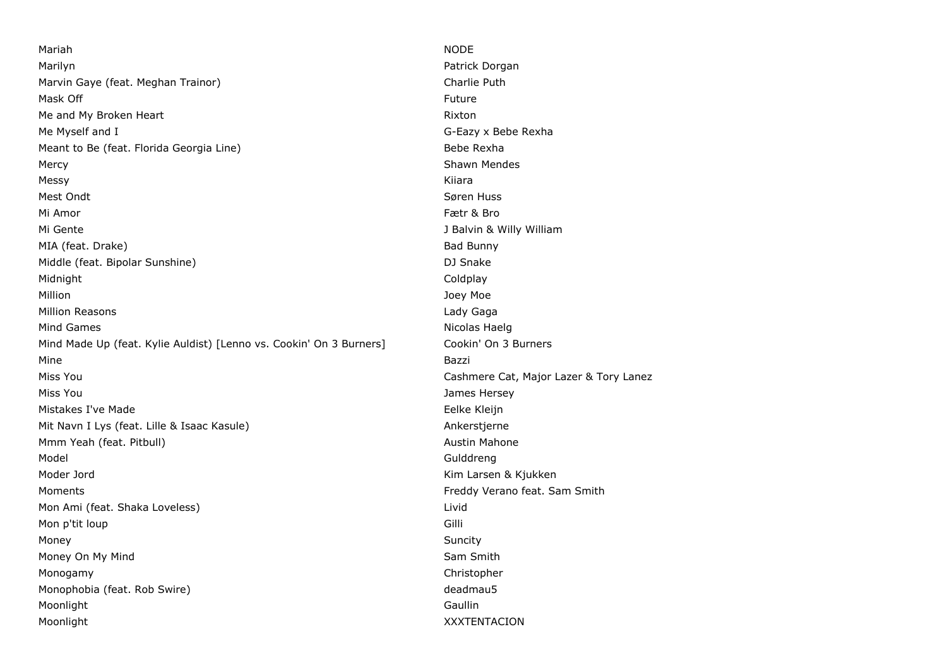Mariah NODE Marilyn Patrick Dorgan Marvin Gaye (feat. Meghan Trainor) Charlie Puth Mask Off Future and the contract of the contract of the contract of the contract of the contract of the contract of the contract of the contract of the contract of the contract of the contract of the contract of the contra Me and My Broken Heart **Rimsell Communist Communist Communist Communist Communist Communist Communist Communist Communist Communist Communist Communist Communist Communist Communist Communist Communist Communist Communist** Me Myself and I G-Eazy x Bebe Rexha Meant to Be (feat. Florida Georgia Line) and the state of the Bebe Rexha Mercy **Mercy** Shawn Mendes **Mercy** Shawn Mendes **Shawn Mendes** Messy Kiiara Mest Ondt $S$ øren Huss $\sim$ Mi Amor Fætr & Bro Mi Gente Jackson and The Julian Communication of the Jackson and Jackson and Jackson and Jackson and Jackson and Jackson and Jackson and Jackson and Jackson and Jackson and Jackson and Jackson and Jackson and Jackson and J MIA (feat. Drake) Bad Bunny Bad Bunny Middle (feat. Bipolar Sunshine) DJ Snake Midnight Coldplay Million Joey Moe Million Reasons **Lady Gaga** Mind Games **Nicolas Haelg** Nicolas Haelg Nicolas Haelg Nicolas Haelg Nicolas Haelg Nicolas Haelg Nicolas Haelg Nicolas Haelg Nicolas Haelg Nicolas Haelg Nicolas Haelg Nicolas Haelg Nicolas Haelg Nicolas Haelg Nicolas Haelg Mind Made Up (feat. Kylie Auldist) [Lenno vs. Cookin' On 3 Burners] Cookin' On 3 Burners Mine **Bazzi** Miss You Cashmere Cat, Major Lazer & Tory Lanez Miss You James Hersey Mistakes I've Made **Eelke Kleijn** Mit Navn I Lys (feat. Lille & Isaac Kasule) Ankerstjerne Mmm Yeah (feat. Pitbull) Austin Mahone and Austin Mahone Model Gulddreng Moder Jord **Kim Larsen & Kjukken** Moments Freddy Verano feat. Sam Smith Mon Ami (feat. Shaka Loveless) Livid Livid Ami (feat. Shaka Loveless) Livid Mon p'tit loup Gilli Money Suncity Money On My Mind Sam Smith Monogamy Christopher Monophobia (feat. Rob Swire) deadmau5 Moonlight Gaullin Moonlight XXXTENTACION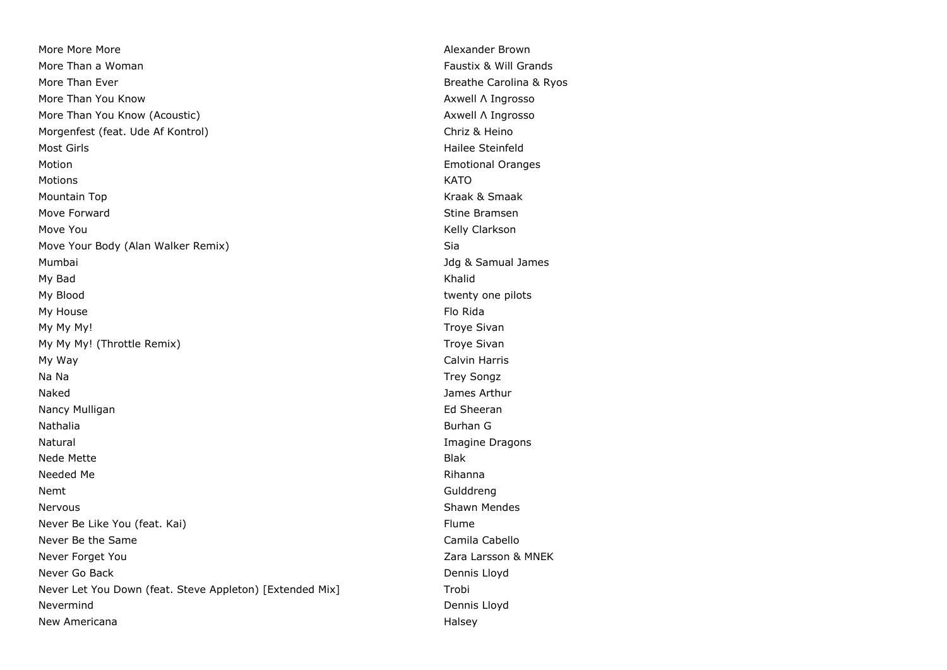More More More **More** Alexander Brown **More More Alexander Brown** More Than a Woman Faustix & Will Grands More Than Ever Breathers and the Carolina & Ryos Breathers and Breathers and Breathers and Breathers and Breathers and Breathers and Breathers and Breathers and Breathers and Breathers and Breathers and Breathers and Breat More Than You Know Axwell Λ Ingrosso More Than You Know (Acoustic) Axwell Λ Ingrosso Morgenfest (feat. Ude Af Kontrol) and Christian Christian Christian Christian Christian Christian Christian Christian Most Girls **Hailee Steinfeld** Motion **Emotional Oranges** Motions KATO Mountain Top **Kraak & Smaak** And Allen And Allen And Allen And Allen And Allen And Allen And Allen And Allen And A Move Forward **Stine Bramsen** Move You **Kelly Clarkson** Move Your Body (Alan Walker Remix) Sia Mumbai Jdg & Samual James My Bad Khalid My Blood **twenty one pilots** and twenty one pilots are twenty one pilots and twenty one pilots are twenty one pilots My House Flo Rida and the Contract of the Contract of the Contract of the Contract of the Contract of the Contract of the Contract of the Contract of the Contract of the Contract of the Contract of the Contract of the Cont My My My! Troye Sivan My My My! (Throttle Remix) Troye Sivan My Way Calvin Harris Na Na Trey Songz Naked James Arthur Nancy Mulligan **Ed Sheeran** Ed Sheeran **Ed Sheeran** Nathalia Burhan G Natural **Imagine Dragons Natural** Imagine Dragons **Imagine Dragons** nede Mette Blake Blake Blake Blake Blake Blake Blake Blake Blake Blake Blake Blake Blake Blake Blake Blake Blake Blake Blake Blake Blake Blake Blake Blake Blake Blake Blake Blake Blake Blake Blake Blake Blake Blake Blake B Needed Me Rihanna Nemt Gulddreng Nervous **Network** Shawn Mendes Never Be Like You (feat. Kai) Flume Never Be the Same Camila Cabello Never Forget You **New Your Contract Act 2018** 2 Never Forget You Never Go Back **Dennis Lloyd Dennis Lloyd Dennis Lloyd** Never Let You Down (feat. Steve Appleton) [Extended Mix] Trobi Nevermind Dennis Lloyd New Americana **Halsey** New Americana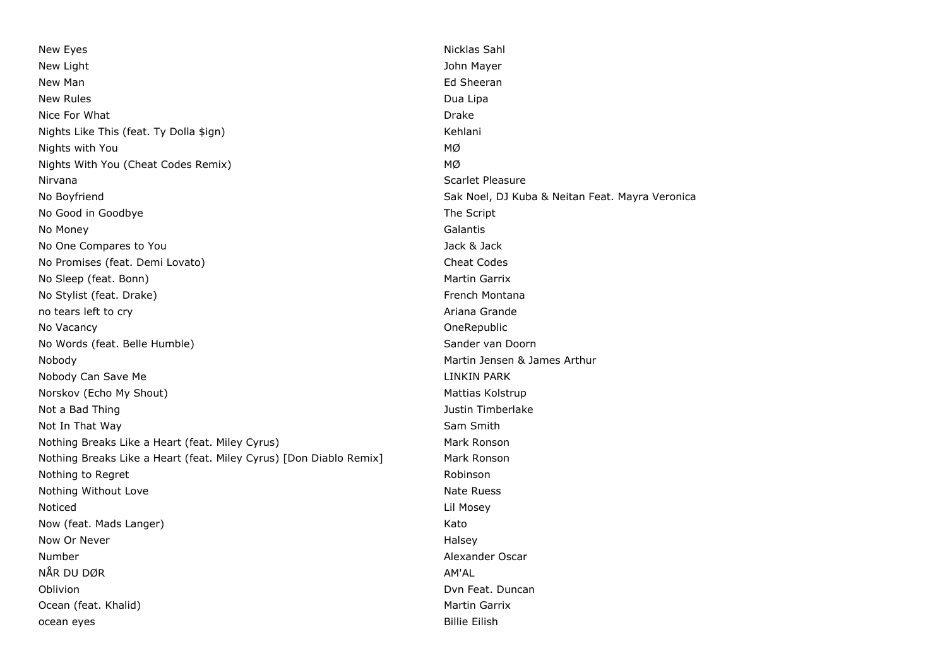New Eyes Nicklas Sahl New Light **New Light** John Mayer New Man **Ed Sheeran** Education Communication Communication Communication Communication Communication Communicatio New Rules Dua Lipa Nice For What **Drake** Drake **Drake** Drake Drake **Drake** Drake Drake Drake Drake Drake Drake Drake Drake Drake Drake Drake Drake Drake Drake Drake Drake Drake Drake Drake Drake Drake Drake Drake Drake Drake Drake Drake Drak Nights Like This (feat. Ty Dolla \$ign) Mights All the Kehlani Nights with You MØ Nights With You (Cheat Codes Remix) MØ Nirvana Scarlet Pleasure No Boyfriend Sak Noel, DJ Kuba & Neitan Feat. Mayra Veronica No Good in Goodbye The Script Control of the Script Control of the Script Control of the Script Control of the Script Control of the Script Control of the Script Control of the Script Control of the Script Control of the S No Money Galantis No One Compares to You Jack & Jack & Jack & Jack & Jack & Jack & Jack & Jack & Jack & Jack & Jack & Jack & Jack  $\sim$ No Promises (feat. Demi Lovato) Cheat Codes No Sleep (feat. Bonn) Martin Garrix No Stylist (feat. Drake) French Montana **French Montana** no tears left to cry **Ariana Grande** Constanting to the Ariana Grande Constanting of Ariana Grande Constanting to the Ariana Grande Constanting of Ariana Grande Constanting of Ariana Grande Constanting of Ariana Grande Con No Vacancy OneRepublic No Words (feat. Belle Humble) Sander van Doorn Sander van Doorn Nobody Martin Jensen & James Arthur Nobody Can Save Me **LINKIN PARK CONSUMING THE LINK OF A LINKIN PARK** Norskov (Echo My Shout) Mattias Kolstrup Mattias Kolstrup Mattias Kolstrup Not a Bad Thing Justin Timberlake Not In That Way Sam Smith Nothing Breaks Like a Heart (feat. Miley Cyrus) Mark Ronson Mark Ronson Nothing Breaks Like a Heart (feat. Miley Cyrus) [Don Diablo Remix] Mark Ronson Nothing to Regret and the Robinson Robinson and Robinson Robinson Robinson Nothing Without Love **National Community** Control of the National Association of the National Association of the National Association of the National Association of the National Association of the National Association of t Noticed Lil Mosey Now (feat. Mads Langer) Now (feat. Mads Langer) Now Or Never **Halsey** Number **Alexander Oscar** Alexander Oscar **Alexander Oscar** Alexander Oscar NÅR DU DØR AM'AL Oblivion **Duncan** Dvn Feat. Duncan Dvn Feat. Duncan Dvn Feat. Duncan Dvn Feat. Duncan Dvn Feat. Duncan Dvn Feat. Duncan Dvn Feat. Duncan Dvn Feat. Duncan Dvn Feat. Duncan Dvn Feat. Duncan Dvn Feat. Duncan Dvn Feat. Duncan Ocean (feat. Khalid) Martin Garrix Martin Garrix Martin Garrix Martin Garrix Martin Garrix ocean eyes **Billie Eilish**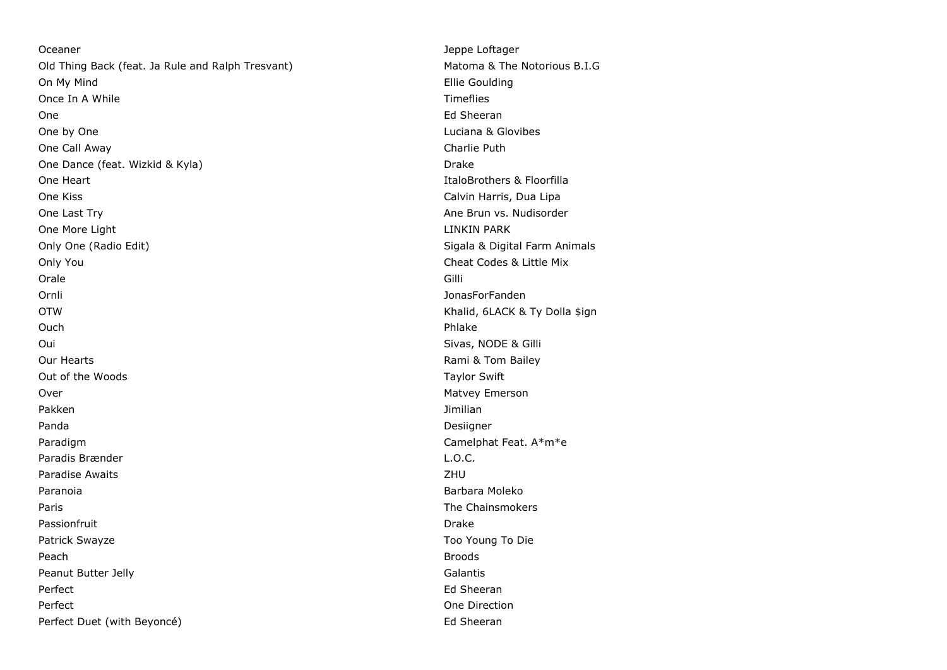Oceaner Jeppe Loftager Jeppe Loftager Jeppe Loftager Jeppe Loftager Jeppe Loftager Old Thing Back (feat. Ja Rule and Ralph Tresvant) Matoma & The Notorious B.I.G On My Mind Ellie Goulding Once In A While Timeflies and the United States of the Timeflies of the Timeflies One **Ed Sheeran** Sheeran All and the Sheeran Sheeran Sheeran Sheeran Sheeran Sheeran Sheeran Sheeran Sheeran Sheeran One by One Luciana & Glovibes One Call Away Charlie Puth One Dance (feat. Wizkid & Kyla) Drake One Heart **ItaloBrothers & Floorfilla** One Kiss Calvin Harris, Dua Lipa One Last Try **Ane Brun vs. Nudisorder Cone Last Try** Ane Brun vs. Nudisorder One More Light LINKIN PARK Only One (Radio Edit) Sigala & Digital Farm Animals Only You Cheat Codes & Little Mix Orale Gilli Ornli JonasForFanden OTW Khalid, 6LACK & Ty Dolla \$ign Ouch Phlake Oui Sivas, NODE & Gilli Our Hearts **Rami & Tom Bailey Contract Contract Contract Contract Contract Contract Contract Contract Contract Contract Contract Contract Contract Contract Contract Contract Contract Contract Contract Contract Contract C** Out of the Woods Taylor Swift Over 2008 and 2009 and 2009 and 2009 and 2009 and 2009 and 2009 and 2009 and 2009 and 2009 and 2009 and 2009 and 2009 and 2009 and 2009 and 2009 and 2009 and 2009 and 2009 and 2009 and 2009 and 2009 and 2009 and 2009 and 2 Pakken Jimilian Santa Terminang Pakken Jimilian Santa Terminang Pakken Jimilian Panda Desiigner is a strong of the control of the control of the control of the control of the control of the control of the control of the control of the control of the control of the control of the control of the control Paradigm **Camelphat Feat. A**\*m\*e Paradis Brænder **L.O.C.** Paradise Awaits **ZHU** Paranoia **Barbara Moleko (Barbara Moleko)** a Barbara Moleko (Barbara Moleko (Barbara Moleko (Barbara Moleko (Barbara Moleko (Barbara Moleko (Barbara Moleko (Barbara Moleko (Barbara Moleko (Barbara Moleko (Barbara Moleko (B Paris **Paris The Chainsmokers Paris The Chainsmokers** Passionfruit **Drake** Patrick Swayze Too Young To Die Peach Broods Peanut Butter Jelly **Calantis** Calantis **Calantis** Perfect **Ed Sheeran** Ed Sheeran Ed Sheeran Ed Sheeran Ed Sheeran Ed Sheeran Ed Sheeran Ed Sheeran Ed Sheeran Ed Sheeran Ed Sheeran Ed Sheeran Ed Sheeran Ed Sheeran Ed Sheeran Ed Sheeran Ed Sheeran Ed Sheeran Ed Sheeran Ed Perfect One Direction Perfect Duet (with Beyoncé) **Ed Sheeran** Ed Sheeran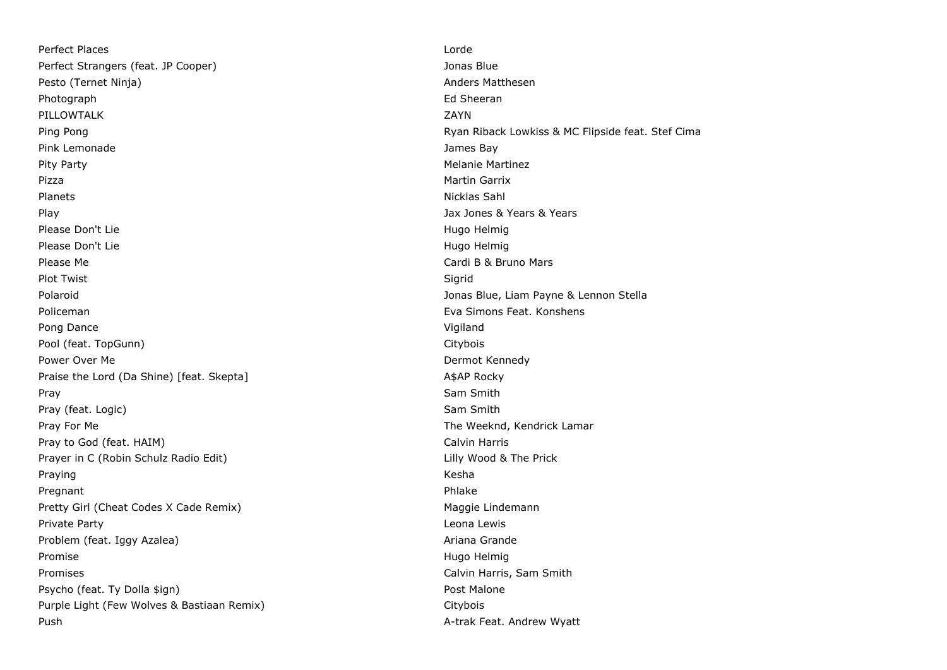Perfect Places and the control of the control of the control of the control of the control of the control of the control of the control of the control of the control of the control of the control of the control of the cont Perfect Strangers (feat. JP Cooper) Jonas Blue Pesto (Ternet Ninja) Anders Matthesen Photograph **Ed Sheeran** Ed Sheeran **Ed Sheeran** Ed Sheeran **Ed Sheeran** PILLOWTALK ZAYN Ping Pong Ryan Riback Lowkiss & MC Flipside feat. Stef Cima Pink Lemonade **James Bay** Pity Party **Melanie Martinez** Melanie Martinez Melanie Melanie Martinez Pizza de la controllata de la controllata de la controllata de la controllata de la controllata de la controllata de la controllata de la controllata de la controllata de la controllata de la controllata de la controllata Planets **Nicklas Sahl** Play Jax Jones & Years & Years Please Don't Lie **Hugo Helmig** Please Don't Lie Hugo Helmig Helmig Helmig Helmig Helmig Helmig Helmig Helmig Helmig Please Don't Lie **Hugo Helmig** Please Don't Lie Hugo Helmig Helmig Alexander Controller Hugo Helmig Helmig Helmig Please Me Cardi B & Bruno Mars Plot Twist Sigrid (1999) and the set of the set of the set of the Sigrid (1999) and the Sigrid Polaroid Jonas Blue, Liam Payne & Lennon Stella Policeman Eva Simons Feat. Konshens Pong Dance Vigiland and the Vigiland Contract of the Vigiland Vigiland Vigiland Vigiland Vigiland Vigiland Vigiland Vigiland Vigiland Vigiland Vigiland Vigiland Vigiland Vigiland Vigiland Vigiland Vigiland Vigiland Vigilan Pool (feat. TopGunn) Citybois Communication of the Citybois Citybois Citybois Communication of the Citybois Citybois Power Over Me **Dermot Kennedy Power Over Me** Dermot Kennedy Praise the Lord (Da Shine) [feat. Skepta] A\$AP Rocky Pray Sam Smith (1999) and the Sam Smith (1999) and the Sam Smith (1999) and the Sam Smith Pray (feat. Logic) Sam Smith Pray For Me The Weeknd, Kendrick Lamar Pray to God (feat. HAIM) Calvin Harris Calvin Harris Calvin Harris Calvin Harris Calvin Harris Calvin Harris C Prayer in C (Robin Schulz Radio Edit) Channel Communication Communication Communication Communication Communication C Praying Kesha and the Community of the Community of the Community of the Community of the Community of the Comm Pregnant Phlake Pregnant Phlake Phlake Phlake Phlake Phlake Phlake Phlake Phlake Phlake Phlake Phlake Phlake Phlake Phlake Phlake Phlake Phlake Phlake Phlake Phlake Phlake Phlake Phlake Phlake Phlake Phlake Phlake Phlake P Pretty Girl (Cheat Codes X Cade Remix) Maggie Lindemann Private Party Leona Lewis Problem (feat. Iggy Azalea) Ariana Grande Promise Hugo Helmig Promise and the extension of the extension of the Hugo Helmig Hugo Helmig Promise and the extension of the extension of the extension of the extension of the extension of the extension of the extension Promises Calvin Harris, Sam Smith Psycho (feat. Ty Dolla \$ign) example and the system of the Post Malone Purple Light (Few Wolves & Bastiaan Remix) Citybois Push A-trak Feat. Andrew Wyatt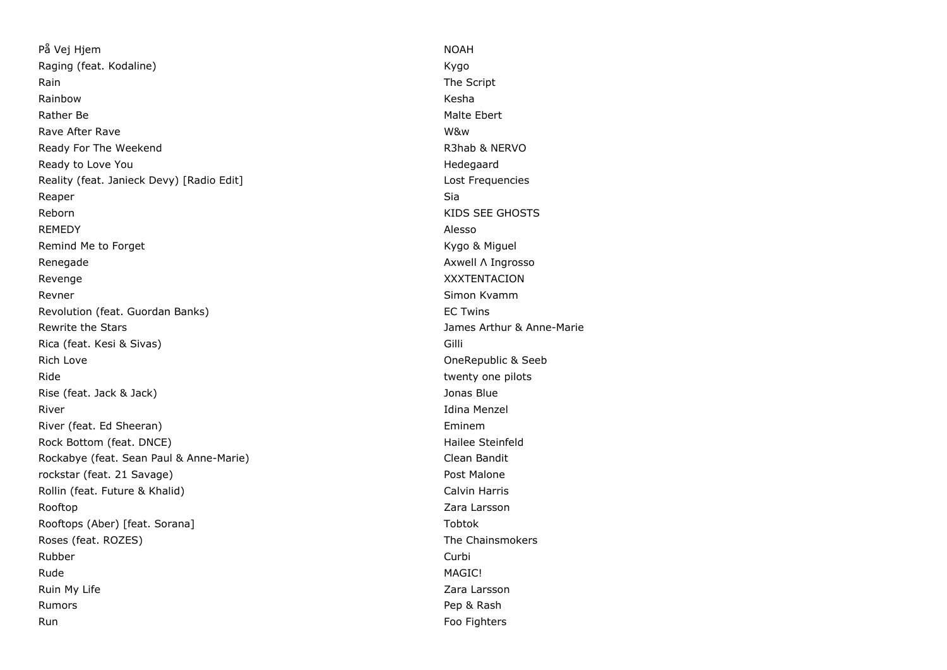På Vej Hjem NOAH Raging (feat. Kodaline) **Kygo Kygo Kygo Kygo** Rain The Script Rainbow Kesha Rather Be National According to the Malte Ebert According to the Malte Ebert According to the Malte Ebert According to the Malte Ebert According to the Malte Ebert According to the Malte Ebert According to the Malte Ebert Rave After Rave W&w Ready For The Weekend **R3hab & NERVO** R3hab & NERVO Ready to Love You **Network Contract Contract Contract Contract Contract Contract Contract Contract Contract Contract Contract Contract Contract Contract Contract Contract Contract Contract Contract Contract Contract Contra** Reality (feat. Janieck Devy) [Radio Edit] Lost Frequencies Lost Frequencies Reaper Sia and the Sia and the Sia and the Sia and the Sia and the Sia and the Sia and Sia and Sia and Sia and Reborn **KIDS** SEE GHOSTS REMEDY Alesso Remind Me to Forget **Kygo & Miguel** Remind Me to Forget Renegade **Axwell Λ Ingrosso** Renegade Axwell Λ Ingrosso Revenge XXXTENTACION Revner Simon Kvamm Simon Kvamm Simon Kvamm Simon Kvamm Simon Kvamm Simon Kvamm Simon Kvamm Simon Kvamm Simon K Revolution (feat. Guordan Banks) EC Twins Rewrite the Stars James Arthur & Anne-Marie Rica (feat. Kesi & Sivas) Gilli Rich Love **Contract Contract Contract Contract Contract Contract Contract Contract Contract Contract Contract Contract Contract Contract Contract Contract Contract Contract Contract Contract Contract Contract Contract Cont** Ride twenty one pilots and twenty one pilots are twenty one pilots of twenty one pilots and twenty one pilots of the structure of the structure of the structure of the structure of the structure of the structure of the str Rise (feat. Jack & Jack) Jonas Blue River **Idina Menzel** River (feat. Ed Sheeran) **Eminem** Eminem Rock Bottom (feat. DNCE) **Hailee Steinfeld Hailee Steinfeld** Rockabye (feat. Sean Paul & Anne-Marie) Clean Bandit rockstar (feat. 21 Savage) extending the state of the Post Malone Rollin (feat. Future & Khalid) Calvin Harris Calvin Harris Rooftop **Zara Larsson** Rooftops (Aber) [feat. Sorana] Tobtok Roses (feat. ROZES) The Chainsmokers and the Chainsmokers and the Chainsmokers and the Chainsmokers Rubber Curbi Rude MAGIC! Ruin My Life **Zara Larsson** Rumors **Pep & Rash** Run Foo Fighters and the contract of the contract of the contract of the contract of the contract of the contract of the contract of the contract of the contract of the contract of the contract of the contract of the contr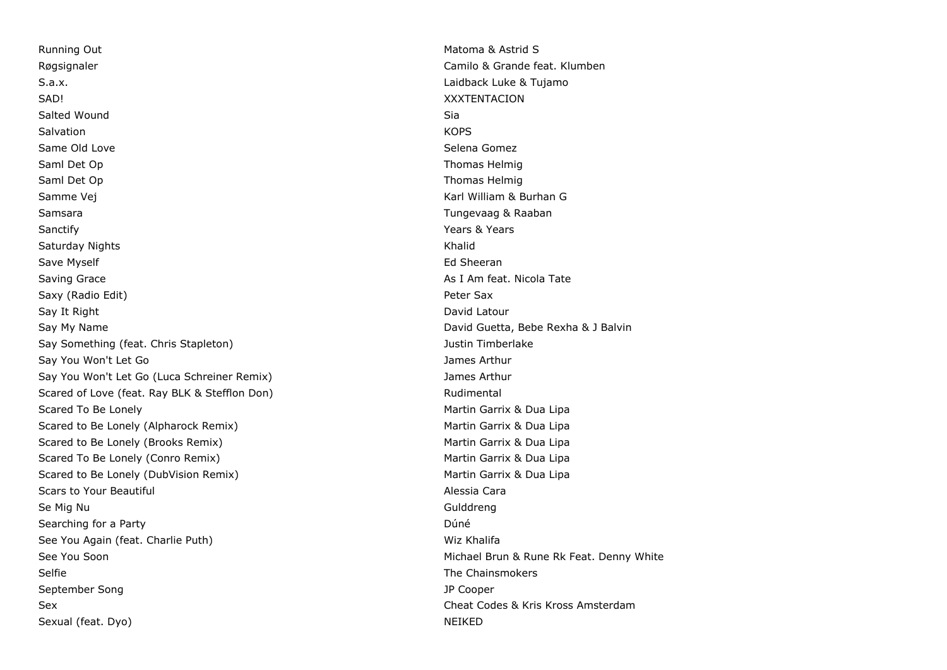Running Out **Matoma & Astrid S** Astrid S Astrid S Astrid S Astrid S Astrid S Astrid S Røgsignaler Camilo & Grande feat. Klumben Camilo & Grande feat. Klumben Camilo & Grande feat. Klumben Camilo & Grande feat. Klumben Camilo & Grande feat. Klumben Camilo & Grande feat. Klumben Camilo & Grande feat. Klumben S.a.x. Laidback Luke & Tujamo SAD! XXXTENTACION Salted Wound Sia Salvation KOPS Same Old Love Selena Gomez Selena Gomez Selena Gomez Selena Gomez Selena Gomez Selena Gomez Selena Gomez Selena Gomez Saml Det Op Thomas Helmig and Det Op Thomas Helmig and Det Op Thomas Helmig and Det Op Thomas Helmig and Det O Saml Det Op Thomas Helmig Samme Vej Karl William & Burhan G Samsara Tungevaag & Raaban Sanctify **Sanctify Sanctify Network Contract Contract Contract Contract Contract Contract Contract Contract Contract Contract Contract Contract Contract Contract Contract Contract Contract Contract Contract Contract Co** Saturday Nights **Khalid** Saturday Nights Khalid Save Myself **Ed Sheeran** Save Myself **Ed Sheeran** Save Myself **Ed Sheeran** Save Myself **Ed Sheeran** Saving Grace **As I Am feat. Nicola Tate** As I Am feat. Nicola Tate Saxy (Radio Edit) **Peter Sax** Say It Right David Latour Communication of the Communication of the David Latour David Latour Say My Name **David Guetta, Bebe Rexha & J Balvin** David Guetta, Bebe Rexha & J Balvin Say Something (feat. Chris Stapleton) and the state of the state of the Justin Timberlake Say You Won't Let Go James Arthur Arthur Arthur Arthur Arthur Arthur Arthur Arthur Arthur Arthur Arthur Arthur Say You Won't Let Go (Luca Schreiner Remix) James Arthur Scared of Love (feat. Ray BLK & Stefflon Don) Rudimental Scared To Be Lonely **Martin Garrix & Dua Lipa** Martin Garrix & Dua Lipa Scared to Be Lonely (Alpharock Remix) Martin Garrix & Dua Lipa Scared to Be Lonely (Brooks Remix) Martin Garrix & Dua Lipa Scared To Be Lonely (Conro Remix) and the matrix Control of Martin Garrix & Dua Lipa Scared to Be Lonely (DubVision Remix) Scared to Be Lonely (DubVision Remix) Martin Garrix & Dua Lipa Scars to Your Beautiful Alessia Cara Se Mig Nu Gulddreng Searching for a Party **Duncation Community** Contract a Party Duncation Community Community Community Community Community Community Community Community Community Community Community Community Community Community Community C See You Again (feat. Charlie Puth) Wiz Khalifa See You Soon **Michael Brun & Rune Rk Feat. Denny White** See You Soon Selfie **The Chainsmokers** Selfie The Chainsmokers **The Chainsmokers** September Song JP Cooper Sex Cheat Codes & Kris Kross Amsterdam Sexual (feat. Dyo) NEIKED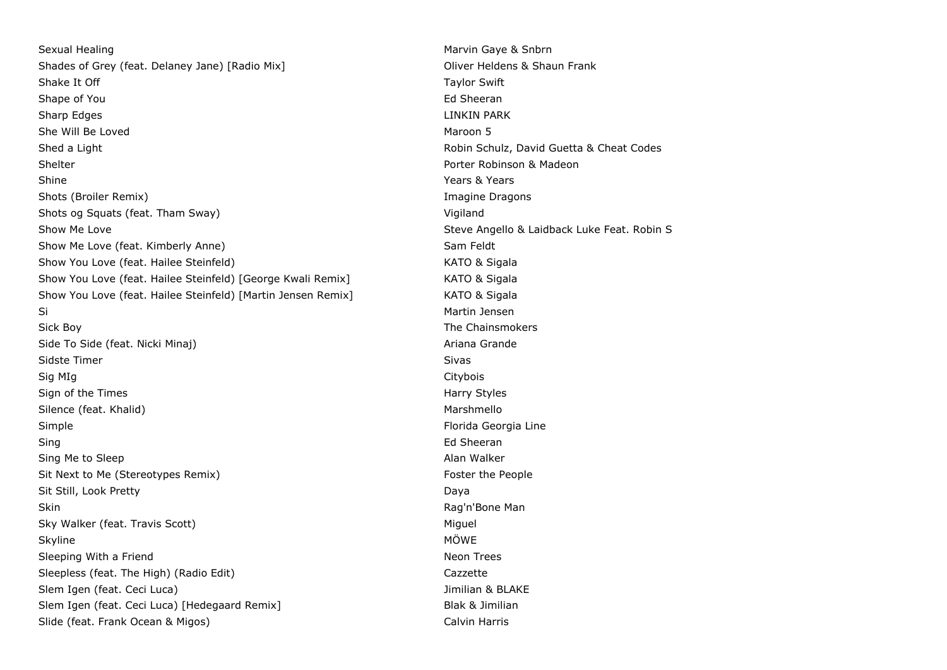Sexual Healing Marvin Gaye & Snbrn Care and Marvin Gaye & Snbrn Care and Marvin Gaye & Snbrn Care and Marvin Gaye & Snbrn Care and Marvin Gaye & Snbrn Care and Marvin Gaye & Snbrn Care and Marvin Gaye & Snbrn Care and Marv Shades of Grey (feat. Delaney Jane) [Radio Mix] China Controller Monte Controller Monte China China China China China China China China China China China China China China China China China China China China China China Ch Shake It Off **Taylor Swift** Shake It Off **Taylor Swift** Shape of You **Ed Sheeran** Shape of You **Ed Sheeran** Sharp Edges **LINKIN PARK** She Will Be Loved **Maroon 5** Shed a Light **Robin Schulz, David Guetta & Cheat Codes Robin Schulz, David Guetta & Cheat Codes** Shelter **Shelter** Porter Robinson & Madeon Shine **Shine** Years & Years & Years & Years & Years & Years & Years & Years & Years & Years & Years & Years & Years & Years & Years & Years & Years & Years & Years & Years & Years & Years & Years & Years & Years & Years & Shots (Broiler Remix) **Imagine Dragons** Shots (Broiler Remix) Shots og Squats (feat. Tham Sway) vigiland vir and the Vigiland vir and Vigiland vir and Vigiland vir and Vigiland Show Me Love Steve Angello & Laidback Luke Feat. Robin S Show Me Love (feat. Kimberly Anne) Show Me Love feat. Kimberly Anne) Show You Love (feat. Hailee Steinfeld) Manual Manual Manual Manual KATO & Sigala Show You Love (feat. Hailee Steinfeld) [George Kwali Remix] KATO & Sigala Show You Love (feat. Hailee Steinfeld) [Martin Jensen Remix] KATO & Sigala Si Martin Jensen (Singapura Singapura Singapura Singapura Singapura Singapura Singapura Singapura Singapura Si Sick Boy **The Chainsmokers** Sick Boy Side To Side (feat. Nicki Minaj) Ariana Grande Ariana Grande Sidste Timer Sidste Timer Sidste Timer Sidste Timer Sidste Timer Sidste Timer Sidste Timer Sidste Timer Sidste Sig MIg Citybois Sign of the Times **Harry Styles** Harry Styles **Harry Styles** Silence (feat. Khalid) Marshmello Marshmello Simple Florida Georgia Line Sing **Ed Sheeran** Shahara Sheeran Sheeran Sheeran Sheeran Sheeran Sheeran Sheeran Sheeran Sheeran Sheeran Sheeran Sing Me to Sleep Alan Walker Alan Walker Alan Walker Sit Next to Me (Stereotypes Remix) Sit Next to Me (Stereotypes Remix) Sit Still, Look Pretty Daya Skin **Skin** Rag'n'Bone Man (1999) and the set of the set of the set of the set of the set of the set of the set of the set of the set of the set of the set of the set of the set of the set of the set of the set of the set Sky Walker (feat. Travis Scott) Miguel Miguel Miguel Miguel Miguel Miguel Miguel Miguel Miguel Miguel Miguel Miguel Skyline MÖWE NASH AND SKYLINE MÖWE NASH AND SKYLINE MÖWE NASH AND SKYLINE MÖWE Sleeping With a Friend Neon Trees Sleepless (feat. The High) (Radio Edit) Cazzette Cazzette Slem Igen (feat. Ceci Luca) Jimilian & BLAKE Slem Igen (feat. Ceci Luca) [Hedegaard Remix] Slem Blak & Jimilian Slide (feat. Frank Ocean & Migos) Calvin Harris Calvin Harris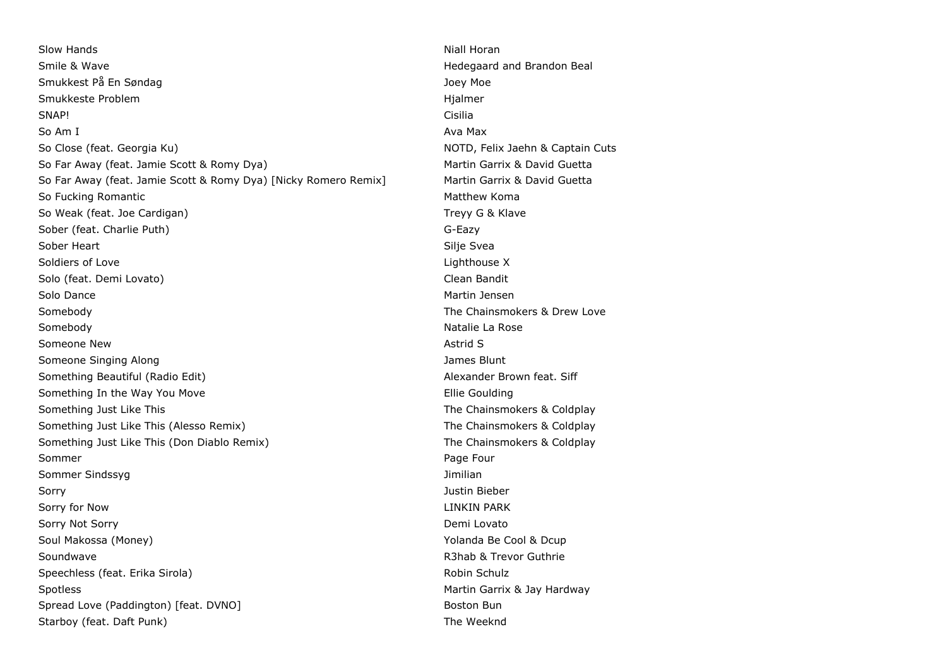Slow Hands **Niall Horan** Niall Horan Niall Horan Niall Horan Niall Horan Niall Horan Niall Horan Niall Horan Niall Horan Niall Horan Niall Horan Niall Horan Niall Horan Niall Horan Niall Horan Niall Horan Niall Horan Niall Smile & Wave **Matter and Brandon Beal** and Brandon Beal and Brandon Beal and Brandon Beal and Brandon Beal and Brandon Beal and Brandon Beal and Brandon Beal and Brandon Beal and Brandon Beal and Brandon Beal and Brandon B Smukkest På En Søndag Joey Moe Joey Moe Joey Moe Joey Moe Joey Moe Joey Moe Joey Moe Joey Moe Joey Moe Joey Moe Smukkeste Problem and the Smukkeste Problem and the Smukkeste Problem and the Higher Higher Books and the Higher SNAP! Cisilia So Am I Ava Max and the South Ava Max and the South Ava Max and the South Ava Max and the South Ava So Close (feat. Georgia Ku) NOTD, Felix Jaehn & Captain Cuts So Far Away (feat. Jamie Scott & Romy Dya) Martin Garrix & David Guetta So Far Away (feat. Jamie Scott & Romy Dya) [Nicky Romero Remix] Martin Garrix & David Guetta So Fucking Romantic **Matthew Komantic** Matthew Komantic Matthew Komantic Matthew Komantic Matthew Komantic Matthew Komantic Matthew Komantic Matthew Komantic Matthew Komantic Matthew Komantic Matthew Komantic Matthew Koman So Weak (feat. Joe Cardigan) So Weak (feat. Joe Cardigan) Sober (feat. Charlie Puth) G-Eazy Sober Heart Silje Svea (Sober Heart Silje Svea (Sober Heart Silje Svea (Sober Heart Silje Svea (Sober Heart S Soldiers of Love **Lighthouse X** Solo (feat. Demi Lovato) Clean Bandit Solo Dance **Martin Jensen** Martin Jensen Martin Jensen Martin Jensen Martin Jensen Martin Jensen Martin Jensen M Somebody **Somebody The Chainsmokers & Drew Love The Chainsmokers & Drew Love** Somebody **Natalie La Rose** Someone New Astrid Structure of the Someone New Astrid Structure of the Someone New Astrid Structure of the Someone New Astrid Structure of the Someone Of the Society of the Society of the Society of the Society of the Soc Someone Singing Along James Blunt Something Beautiful (Radio Edit) Alexander Brown feat. Siff Something In the Way You Move **Ellie Goulding** Something In the Way You Move Something Just Like This The Chainsmokers & Coldplay Something Just Like This (Alesso Remix) The Chainsmokers & Coldplay Something Just Like This (Don Diablo Remix) The Chainsmokers & Coldplay Sommer Page Four Sommer Sindssyg Jimilian Sorry Justin Bieber Sorry for Now **LINKIN PARK** Sorry Not Sorry **Not Sorry Contact Contact Contact Contact Contact Contact Contact Contact Contact Contact Contact Contact Contact Contact Contact Contact Contact Contact Contact Contact Contact Contact Contact Contact Con** Soul Makossa (Money) Xing the Cool & Dcup Makossa (Money) Xing the Cool & Dcup Makossa (Money) Soundwave **R3hab & Trevor Guthrie** Speechless (feat. Erika Sirola) Robin Schulz Robin Schulz Spotless **Martin Garrix & Jay Hardway** Spread Love (Paddington) [feat. DVNO] Boston Bun Boston Bun Starboy (feat. Daft Punk) Starboy (feat. Daft Punk)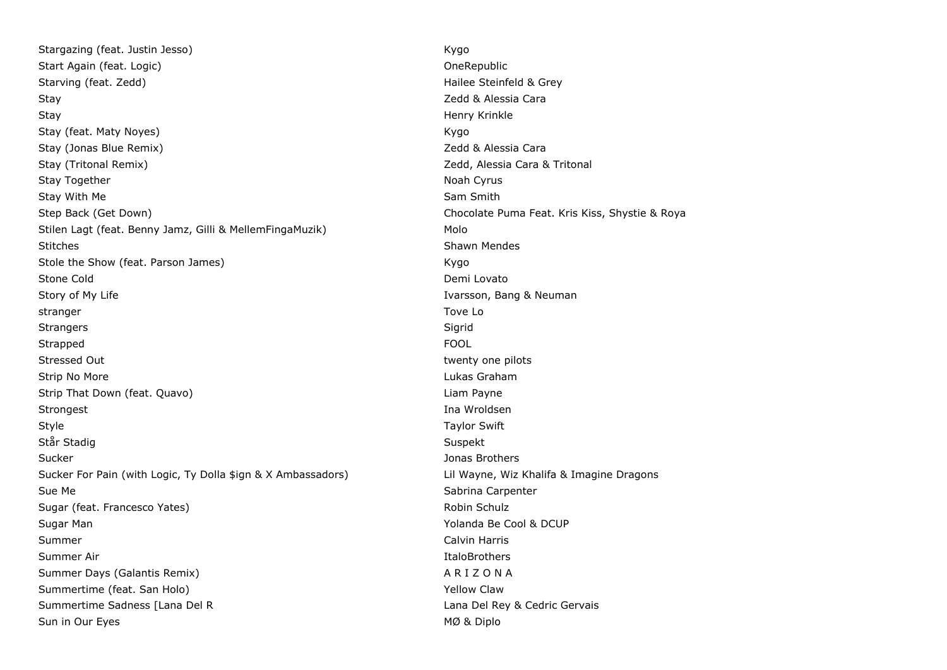Stargazing (feat. Justin Jesso) **Kygo Kygo** Start Again (feat. Logic) Start Again (feat. Logic) Starving (feat. Zedd) **Hailee Steinfeld & Grey** Stay **State Caracter Controller Caracter Caracter Caracter Caracter Caracter Caracter Caracter Caracter Caracter Caracter Caracter Caracter Caracter Caracter Caracter Caracter Caracter Caracter Caracter Caracter Caracter C** Stay Henry Krinkle Stay (feat. Maty Noyes) No. 2008 Stay (feat. Maty Noyes) Stay (Jonas Blue Remix) **Stay (Jonas Blue Remix)** 2edd & Alessia Cara Stay (Tritonal Remix) **Xeritonal Remixide Cara & Tritonal** Zedd, Alessia Cara & Tritonal Stay Together Noah Cyrus and the United States of the Noah Cyrus and the Noah Cyrus and the Noah Cyrus and the Noah Cyrus and the Noah Cyrus and the Noah Cyrus and the Noah Cyrus and the Noah Cyrus and the Noah Cyrus and t Stay With Me Sam Smith Museum of the Sam Smith Stay With Me Sam Smith Sam Smith Step Back (Get Down) Chocolate Puma Feat. Kris Kiss, Shystie & Roya Stilen Lagt (feat. Benny Jamz, Gilli & MellemFingaMuzik) Molo Stitches Shawn Mendes Shawn Mendes Stole the Show (feat. Parson James) Stole the Show Kygo Stone Cold **Demi Lovato** Story of My Life **Ivarson, Bang & Neuman** Story of My Life Ivarsson, Bang & Neuman stranger and the stranger of the stranger of the stranger of the stranger of the stranger of the stranger of th Strangers Sigrid and Sigrid Strangers Sigrid and Sigrid Sigrid Sigrid Sigrid Sigrid Sigrid Sigrid Sigrid Sigrid Strapped FOOL Stressed Out twenty one pilots and twenty one pilots of twenty one pilots of twenty one pilots of twenty one pilots of twenty one pilots of twenty one pilots of twenty one pilots of twenty one pilots of twenty one pilots o Strip No More Lukas Graham Strip That Down (feat. Quavo) Liam Payne Strongest Ina Wroldsen Style **Style Taylor Swift** Står Stadig Suspekt Sucker Jonas Brothers Sucker For Pain (with Logic, Ty Dolla \$ign & X Ambassadors) Lil Wayne, Wiz Khalifa & Imagine Dragons Sue Me Sabrina Carpenter and Sabrina Carpenter and Sabrina Carpenter and Sabrina Carpenter and Sabrina Carpenter Sugar (feat. Francesco Yates) Robin Schulz Robin Schulz Robin Schulz Sugar Man Yolanda Be Cool & DCUP Summer Calvin Harris College and Calvin Harris Calvin Harris Calvin Harris Calvin Harris Calvin Harris Calvin Harris Summer Air **Italog Summer Air** Italog Summer Air **Italog Summer Air** Italog Summer Air **Italog Summer Air** Italog Summer Air Italog Summer Air Italog Summer Air Italog Summer Air Italog Summer Air Italog Summer Air Italog Summer Days (Galantis Remix) A R I Z O N A Summertime (feat. San Holo) **The Contract of Summertime (feat. San Holo**) Summertime Sadness [Lana Del R Lana Del Rey & Cedric Gervais] Sun in Our Eyes MØ & Diplo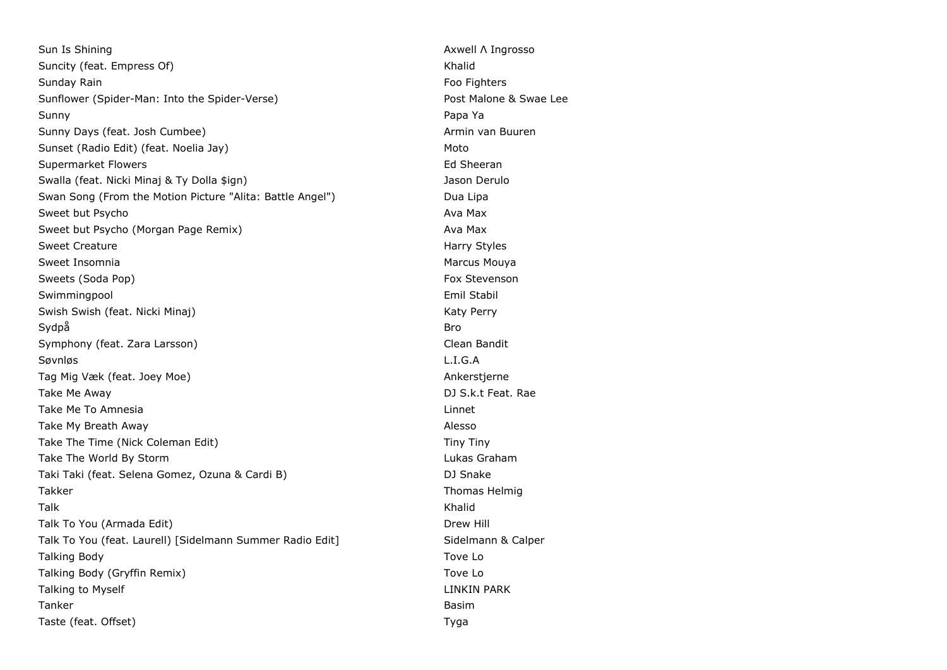Sun Is Shining **Axwell Λ Ingrosso** Sun Is Shining **Axwell Λ** Ingrosso Suncity (feat. Empress Of) Suncity (feat. Empress Of) Sunday Rain Football Controllers and the Controllers of the Controllers of the Controllers of the Controllers of the Controllers of the Controllers of the Controllers of the Controllers of the Controllers of the Controller Sunflower (Spider-Man: Into the Spider-Verse) entitled a set of the Malone & Swae Lee Sunny Papa Ya Sunny Days (feat. Josh Cumbee) Armin van Buuren Armin van Buuren Sunset (Radio Edit) (feat. Noelia Jay) Moto Supermarket Flowers **Ed Sheeran** Ed Sheeran Ed Sheeran Ed Sheeran Ed Sheeran Ed Sheeran Ed Sheeran Ed Sheeran Ed Sheeran Ed Sheeran Ed Sheeran Ed Sheeran Ed Sheeran Ed Sheeran Ed Sheeran Ed Sheeran Ed Sheeran Ed Sheeran Ed Swalla (feat. Nicki Minaj & Ty Dolla \$ign) Jason Derulo Swan Song (From the Motion Picture "Alita: Battle Angel") Dua Lipa Sweet but Psycho Ava Max Sweet but Psycho (Morgan Page Remix) Ava Max Sweet Creature **Harry Styles** Sweet Insomnia and a structure of the structure of the Marcus Mouval Marcus Mouva Sweets (Soda Pop) Fox Stevenson Swimmingpool and the state of the state of the state of the state of the state of the state of the state of the state of the state of the state of the state of the state of the state of the state of the state of the state Swish Swish (feat. Nicki Minaj) Katy Perry Swish Swish Swish (feat. Nicki Minaj) Sydpå Brognes i Santa Brognes i Sydpå Brognes i Sydpå Brognes i Sydpå Brognes i Sydpå Brognes i Sydpå Brognes Symphony (feat. Zara Larsson) Clean Bandit Søvnløs L.I.G.A Tag Mig Væk (feat. Joey Moe) Ankerstjerne Take Me Away **DJ S.k.t Feat.** Rae Take Me To Amnesia Linnet Communication and the Communication of the Communication of the Linnet Communication Take My Breath Away **Alesso** Alesso and the My Breath Away **Alesso** Take The Time (Nick Coleman Edit) Tiny Tiny Take The World By Storm **Lukas Graham** Lukas Graham Taki Taki (feat. Selena Gomez, Ozuna & Cardi B) DJ Snake Takker Takker Thomas Helmig and Thomas Helmig and Thomas Helmig and Thomas Helmig and Thomas Helmig and Thomas Helmig Talk Khalid Talk To You (Armada Edit) Drew Hill Drew Hill Drew Hill Drew Hill Drew Hill Drew Hill Drew Hill Drew Hill Drew Hill Talk To You (feat. Laurell) [Sidelmann Summer Radio Edit] Sidelmann & Calper Talking Body Tove Lot 2008 and the United States of the United States of Toyle Lo Talking Body (Gryffin Remix) Tove Lo Talking to Myself **LINKIN PARK** LINKIN PARK Tanker Basim Taste (feat. Offset) and the control of the control of the control of the control of the control of the control of the control of the control of the control of the control of the control of the control of the control of th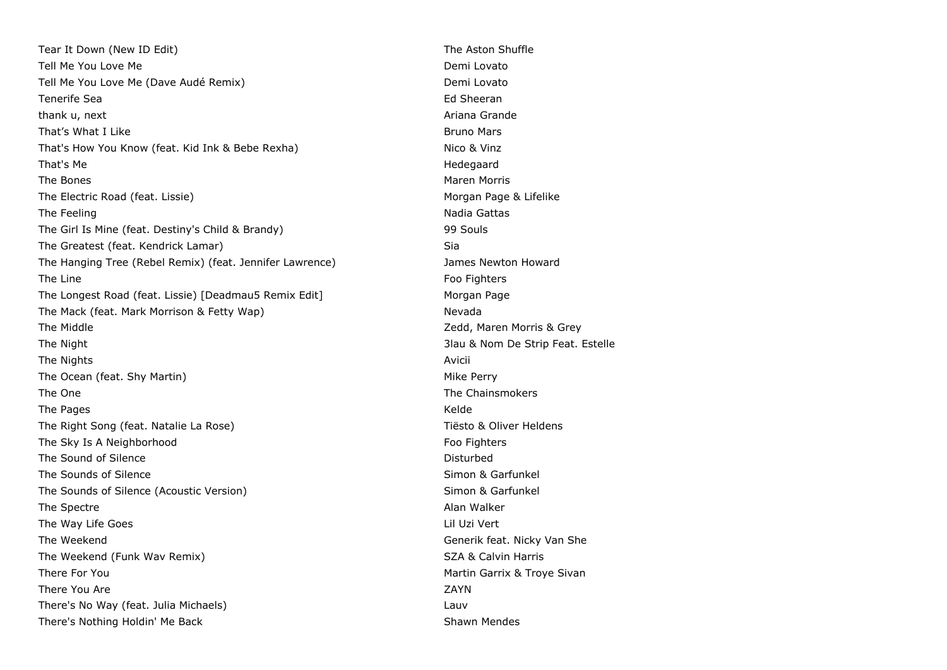Tear It Down (New ID Edit) The Aston Shuffle Tell Me You Love Me **Demi Lovato** Demi Lovato Tell Me You Love Me (Dave Audé Remix) Demi Lovato Tenerife Sea Ed Sheeran Ed Sheeran Ed Sheeran Ed Sheeran Ed Sheeran Ed Sheeran Ed Sheeran Ed Sheeran Ed Sheeran thank u, next **Ariana Grande** Communication and the Communication of the Ariana Grande That's What I Like Bruno Mars That's How You Know (feat. Kid Ink & Bebe Rexha) Nico & Vinz That's Me **Hedegaard** The Bones **Maren Morris Community Community** Community Community Community Community Community Community Community Community Community Community Community Community Community Community Community Community Community Communi The Electric Road (feat. Lissie) Morgan Page & Lifelike The Feeling Nadia Gattas Nadia Gattas Nadia Gattas Nadia Gattas Nadia Gattas Nadia Gattas Nadia Gattas Nadia Gattas Nadia Gattas Nadia Gattas Nadia Gattas Nadia Gattas Nadia Gattas Nadia Gattas Nadia Gattas Nadia Gattas Na The Girl Is Mine (feat. Destiny's Child & Brandy) 99 Souls The Greatest (feat. Kendrick Lamar) Sia The Hanging Tree (Rebel Remix) (feat. Jennifer Lawrence) James Newton Howard The Line Food Fighters and the Line Food Fighters and the Line Food Fighters and the Line Food Fighters and the Line State of the Line State of the Line State of the Line State of the Line State of the Line State of the Li The Longest Road (feat. Lissie) [Deadmau5 Remix Edit] Morgan Page The Mack (feat. Mark Morrison & Fetty Wap) Nevada The Middle **The Middle 2008** 2008 2012 2014 2016 2017 2018 2019 2014 2017 2018 2019 2018 2019 2018 2019 2018 201 The Night 3lau & Nom De Strip Feat. Estelle The Nights **Avicii** The Ocean (feat. Shy Martin) Mike Perry The One The One The Chainsmokers and the Chainsmokers and the Chainsmokers and the Chainsmokers and the Chainsmokers and the Chainsmokers and the Chainsmokers and the Chainsmokers and the Chainsmokers and the Chainsmokers The Pages **Kelde** The Right Song (feat. Natalie La Rose) The Right Song (feat. Natalie La Rose) The Right Song (feat. Natalie La Rose) The Sky Is A Neighborhood **Foo Fighters** Foo Fighters The Sound of Silence **Disturbed** Disturbed The Sounds of Silence Simon & Garfunkel The Sounds of Silence (Acoustic Version) Simon & Garfunkel The Spectre **Alan Walker** Alan Walker The Way Life Goes **Little Goes** Lil Uzi Vert The Weekend Generik feat. Nicky Van She The Weekend (Funk Wav Remix) SZA & Calvin Harris SZA & Calvin Harris There For You **Martin Garrix & Troye Sivan** There You Are ZAYN There's No Way (feat. Julia Michaels) Lauv There's Nothing Holdin' Me Back Shawn Mendes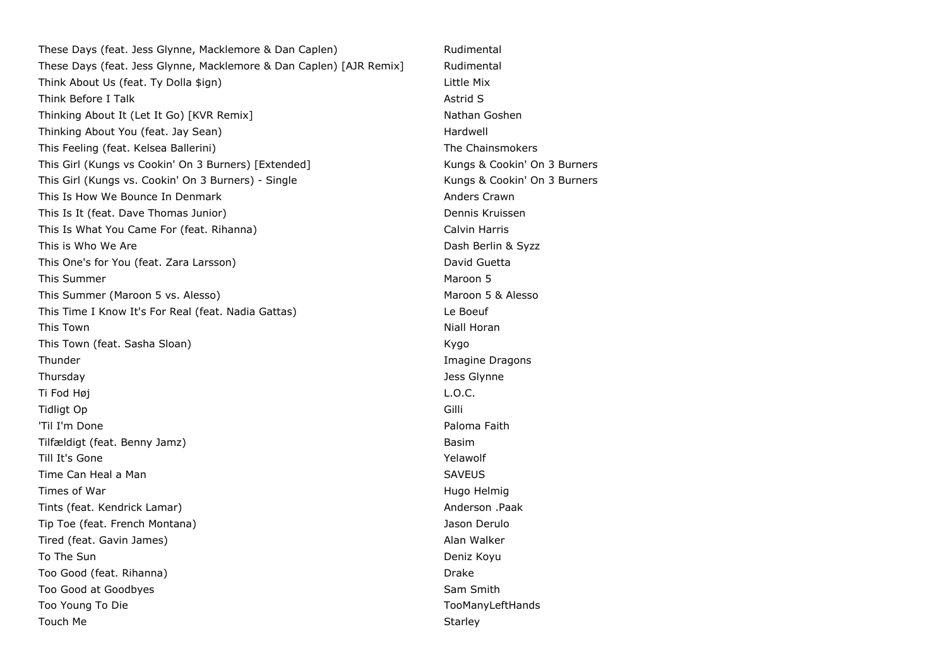These Days (feat. Jess Glynne, Macklemore & Dan Caplen) Rudimental These Days (feat. Jess Glynne, Macklemore & Dan Caplen) [AJR Remix] Rudimental Think About Us (feat. Ty Dolla \$ign) Little Mix Think Before I Talk Astronomy and Talk Astronomy and Talk Astronomy and Talk Astronomy and Talk Astronomy and Talk Astronomy and Talk Astronomy and Talk Astronomy and Talk Astronomy and Talk Astronomy and Talk Astronomy an Thinking About It (Let It Go) [KVR Remix] Nathan Goshen Thinking About You (feat. Jay Sean) Hardwell Hardwell This Feeling (feat. Kelsea Ballerini) The Chainsmokers This Girl (Kungs vs Cookin' On 3 Burners) [Extended] Kungs & Cookin' On 3 Burners This Girl (Kungs vs. Cookin' On 3 Burners) - Single Kungs & Cookin' On 3 Burners This Is How We Bounce In Denmark **Anders Crawn** Anders Crawn This Is It (feat. Dave Thomas Junior) Communication of the Dennis Kruissen This Is What You Came For (feat. Rihanna) Calvin Harris Calvin Harris This is Who We Are **Dash Berlin & Syzz** This One's for You (feat. Zara Larsson) This One's David Guetta This Summer Maroon 5 This Summer (Maroon 5 vs. Alesso) Maroon 5 & Alesso This Time I Know It's For Real (feat. Nadia Gattas) Le Boeuf This Town Niall Horan And The Second Second Second Second Second Second Second Second Second Second Second Second Second Second Second Second Second Second Second Second Second Second Second Second Second Second Second Sec This Town (feat. Sasha Sloan) Kygo (Feat. Sasha Sloan) Thunder **Imagine Dragons Imagine Dragons** Thursday Jess Glynne Ti Fod Høj L.O.C. Tidligt Op Gilli 'Til I'm Done **Paloma Faith** Tilfældigt (feat. Benny Jamz) Basim Till It's Gone Yelawolf and the Yelawolf Control of the Yelawolf Control of the Yelawolf Control of the Yelawolf Time Can Heal a Man SAVEUS SAVEUS Times of War **Hugo Helmig Times of War Hugo Helmig Hugo Helmig Hugo Helmig Hugo Helmig** Tints (feat. Kendrick Lamar) Anderson .Paak Tip Toe (feat. French Montana) Jason Derulo Tired (feat. Gavin James) Alan Walker To The Sun Deniz Koyu Too Good (feat. Rihanna) Drake Controller and the Controller and Drake Drake Drake Too Good at Goodbyes Sam Smith Sam Smith Sam Smith Too Young To Die TooManyLeftHands Touch Me Starley (1999) and the Starley Starley (1999) and the Starley (1999) and the Starley (1999) and the Starley (1999) and the Starley (1999) and the Starley (1999) and the Starley (1999) and the Starley (1999) and th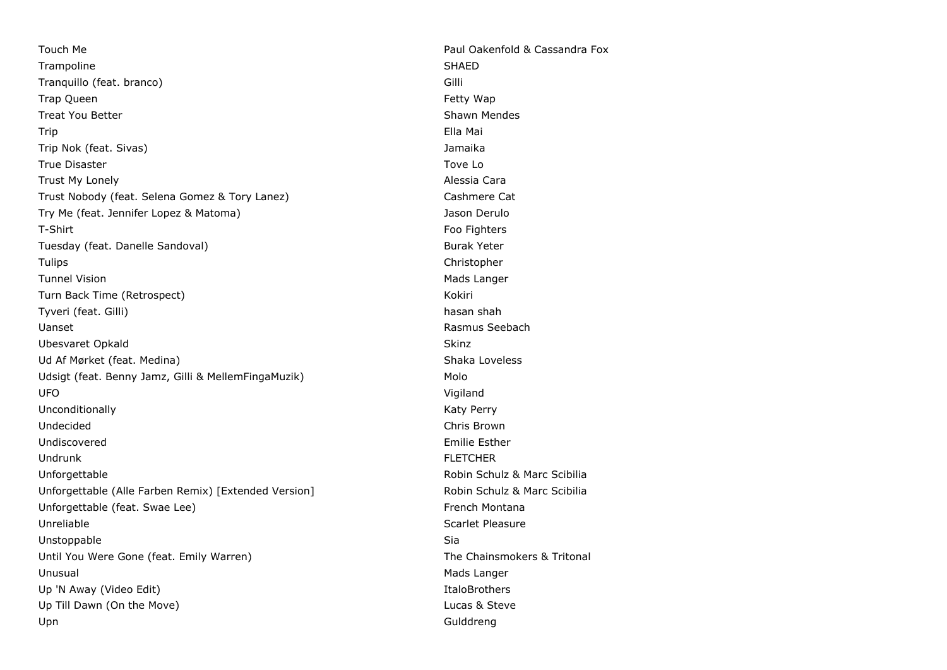Touch Me **Paul Oakenfold & Cassandra Fox** Trampoline SHAED SHAED SHAED SHAED SHAED SHAED SHAED SHAED SHAED SHAED SHAED SHAED SHAED SHAED SHAED SHAED SHAED SHAED SHAED SHAED SHAED SHAED SHAED SHAED SHAED SHAED SHAED SHAED SHAED SHAED SHAED SHAED SHAED SHAED SHAED S Tranquillo (feat. branco) Gilli Trap Queen Fetty Wap Treat You Better Shawn Mendes All the Shawn Mendes Shawn Mendes Trip Ella Mai Trip Nok (feat. Sivas) Jamaika True Disaster Towe Local Contract Contract Contract Contract Contract Contract Contract Contract Contract Contract Contract Contract Contract Contract Contract Contract Contract Contract Contract Contract Contract Contract Trust My Lonely **Alessia Cara** Trust Nobody (feat. Selena Gomez & Tory Lanez) Cashmere Cat Try Me (feat. Jennifer Lopez & Matoma) Jason Derulo T-Shirt Foo Fighters Tuesday (feat. Danelle Sandoval) Burak Yeter Sunday Burak Yeter Tulips Christopher Tunnel Vision and Tunnel Vision and Tunnel Vision and Tunnel Vision and Tunnel Vision and Tunnel Mads Langer Turn Back Time (Retrospect) National Assemblance of the Collection of the Collection of the Collection of the Kokiri Tyveri (feat. Gilli) hasan shah basan shah basan shah basan shah basan shah basan shah basan shah basan shah Uanset Rasmus Seebach Ubesvaret Opkald Skinz Skinz Skinz Skinz Skinz Skinz Skinz Skinz Skinz Skinz Skinz Skinz Skinz Skinz Skinz Skinz Ud Af Mørket (feat. Medina) Shaka Loveless Udsigt (feat. Benny Jamz, Gilli & MellemFingaMuzik) Molo UFO Vigiland Unconditionally **Katy Perry** Constanting Section 2012 12:00 12:00 National Manual Association 2012 12:00 National Manual Association 2013 12:00 National Manual Association 2013 12:00 National Manual Association 2013 12:00 Undecided Chris Brown Undiscovered **Emilie Esther** Emilie Esther **Emilie Esther** Undrunk FLETCHER Unforgettable Robin Schulz & Marc Scibilia Unforgettable (Alle Farben Remix) [Extended Version] Robin Schulz & Marc Scibilia Unforgettable (feat. Swae Lee) example and the state of the French Montana Unreliable Scarlet Pleasure Unstoppable Sia Until You Were Gone (feat. Emily Warren) The Chainsmokers & Tritonal Unusual Mads Langer Up 'N Away (Video Edit) **Italog and Community Community Community** Community Community Community Community Community Up Till Dawn (On the Move) **Lucas & Steve Lucas & Steve** Upn Gulddreng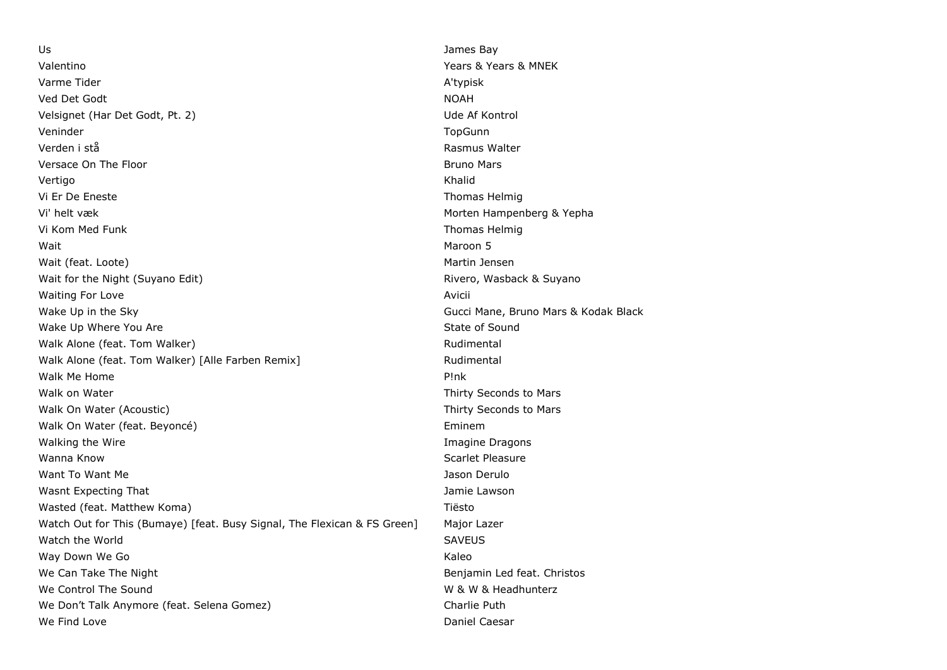Us James Bay Valentino Years & Years & MNEK Varme Tider A'typisk Ved Det Godt NOAH Velsignet (Har Det Godt, Pt. 2) Ude Af Kontrol Veninder TopGunn Verden i stå Rasmus Walter Versace On The Floor Bruno Mars and the Bruno Mars and the Bruno Mars and the Bruno Mars and the Bruno Mars and the Bruno Mars and the Bruno Mars and the Bruno Mars and the Bruno Mars and the Bruno Mars and the Bruno Mars Vertigo Khalid Vi Er De Eneste Thomas Helmig Vi' helt væk Morten Hampenberg & Yepha Vi Kom Med Funk Thomas Helmig Thomas Helmig Thomas Helmig Thomas Helmig Thomas Helmig Thomas Helmig wait the contract of the contract of the contract of the contract of the contract of the contract of the contract of the contract of the contract of the contract of the contract of the contract of the contract of the contr Wait (feat. Loote) Martin Jensen Martin Jensen Martin Jensen Martin Jensen Martin Jensen Wait for the Night (Suyano Edit) **Rivero, Wasback & Suyano** Rivero, Wasback & Suyano Waiting For Love **Avicii Avicii Avicii Avicii Avicii Avicii Avicii Avicii Avicii Avicii Avicii Avicii Avicii Avicii Avicii Avicii Avicii Avicii Avicii Avicii Avicii Avicii Avicii** Wake Up in the Sky Gucci Mane, Bruno Mars & Kodak Black Wake Up Where You Are State of Sound Leaders and State of Sound State of Sound Walk Alone (feat. Tom Walker) Malker and the Control of the Rudimental Rudimental Walk Alone (feat. Tom Walker) [Alle Farben Remix] Walk Alone Mudimental Walk Me Home **P!nk** Walk on Water **Thirty Seconds** to Mars Walk On Water (Acoustic) Thirty Seconds to Mars Walk On Water (feat. Beyoncé) entrance of the state of the Eminem Walking the Wire **Imagine Dragons Contract Contract Contract Contract Contract Contract Contract Contract Contract Contract Contract Contract Contract Contract Contract Contract Contract Contract Contract Contract Contra** Wanna Know Scarlet Pleasure Want To Want Me Jason Derulo Number of the Jason Derulo Jason Derulo Wasnt Expecting That **Government Communist Communist Communist Communist Communist Communist Communist Communist Communist Communist Communist Communist Communist Communist Communist Communist Communist Communist Communist** Wasted (feat. Matthew Koma) Tiesto Watch Out for This (Bumaye) [feat. Busy Signal, The Flexican & FS Green] Major Lazer Watch the World SAVEUS And the World SAVEUS ASSESSED FOR THE SAVEUS SAVEUS SAVEUS Way Down We Go **Kaleo** Kaleo Kaleo Kaleo Kaleo Kaleo Kaleo Kaleo Kaleo Kaleo Kaleo Kaleo Kaleo Kaleo Kaleo Kaleo We Can Take The Night Benjamin Led feat. Christos We Control The Sound We Control The Sound We Control The Sound We Don't Talk Anymore (feat. Selena Gomez) entitled the Charlie Puth We Find Love Daniel Caesar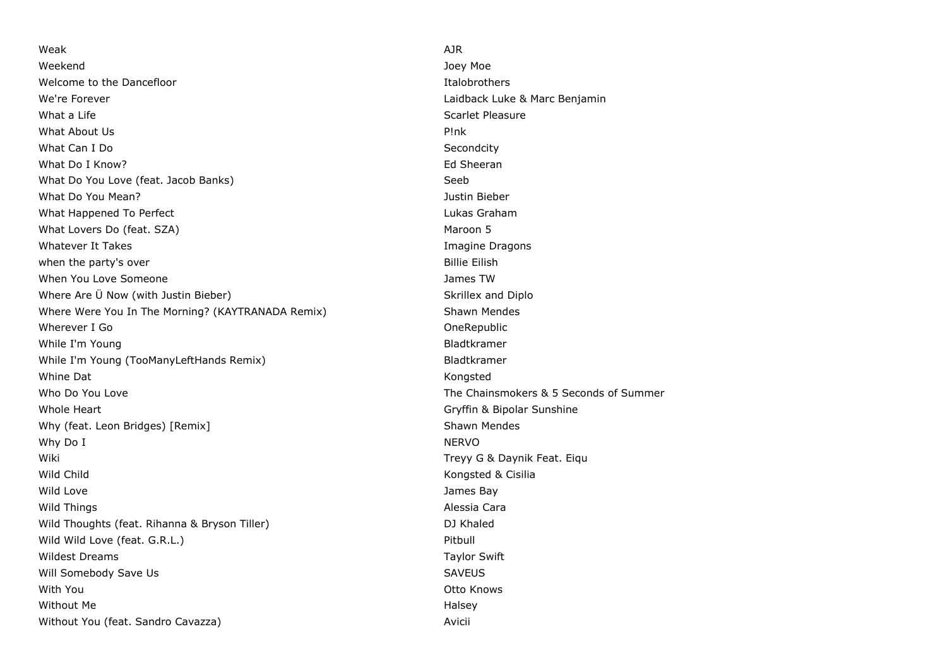Weak AJR Weekend Joey Moe Welcome to the Dancefloor **Italog in the United States** Italobrothers **Italobrothers** We're Forever **Laidback Luke & Marc Benjamin** What a Life Scarlet Pleasure Scarlet Pleasure What About Us P!nk What Can I Do Secondcity What Do I Know? **Ed Sheeran** What Do You Love (feat. Jacob Banks) Seeb Seeb Seeb Seeb Seeb What Do You Mean? Justin Bieber What Happened To Perfect **Lukas Graham** Computer Lukas Graham Computer Lukas Graham What Lovers Do (feat. SZA) Maroon 5 Whatever It Takes **Imagine Dragons Imagine Dragons** when the party's over **Billie Eilish** when the party's over When You Love Someone **Someone** and the *James TW* James TW Where Are U Now (with Justin Bieber) Manual Area Skrillex and Diplo Where Were You In The Morning? (KAYTRANADA Remix) Shawn Mendes Wherever I Go **One Republic Contract Cone** While I'm Young **Bladtkramer Bladtkramer** While I'm Young (TooManyLeftHands Remix) and the manufacture of Bladtkramer Whine Dat Kongsted Who Do You Love The Chainsmokers & 5 Seconds of Summer Whole Heart Gryffin & Bipolar Sunshine Why (feat. Leon Bridges) [Remix] Shawn Mendes Shawn Mendes Why Do I NERVO Wiki **Treyy G & Daynik Feat.** Eigu Wild Child **Kongsted & Cisilia** Wild Love **Contract Contract Contract Contract Contract Contract Contract Contract Contract Contract Contract Contract Contract Contract Contract Contract Contract Contract Contract Contract Contract Contract Contract Cont** Wild Things **Alessia Cara** Wild Thoughts (feat. Rihanna & Bryson Tiller) and DJ Khaled Wild Wild Love (feat. G.R.L.) **Pitbull** Wildest Dreams Taylor Swift Will Somebody Save Us **SAVEUS** SAVEUS With You Otto Knows Without Me Halsey Without You (feat. Sandro Cavazza) Avicii Avicii